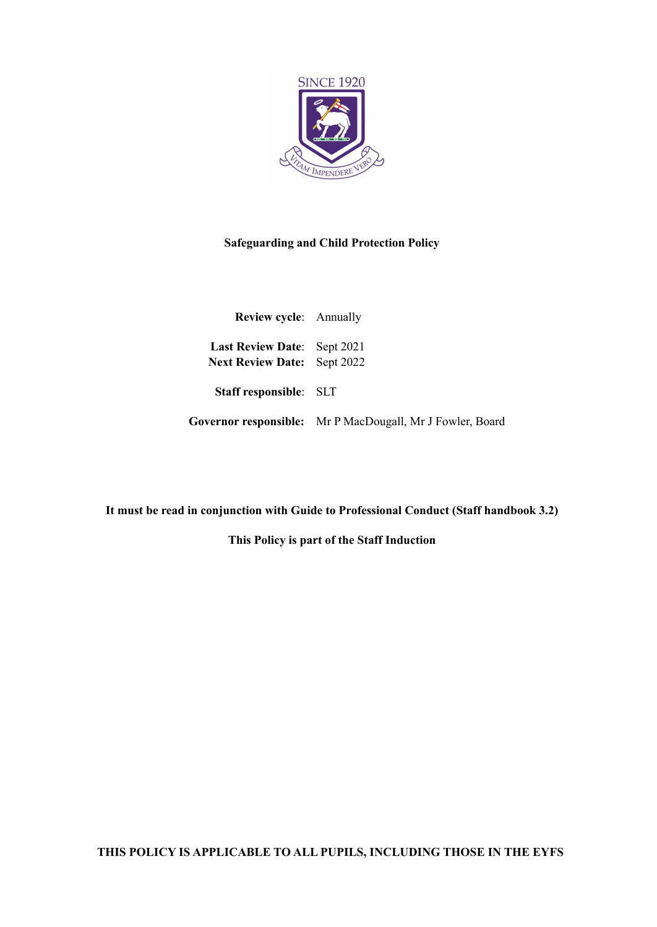

#### **Safeguarding and Child Protection Policy**

| Review cycle: Annually                                                   |                                                           |
|--------------------------------------------------------------------------|-----------------------------------------------------------|
| <b>Last Review Date:</b> Sept 2021<br><b>Next Review Date:</b> Sept 2022 |                                                           |
| Staff responsible: SLT                                                   |                                                           |
|                                                                          | Governor responsible: Mr P MacDougall, Mr J Fowler, Board |

**It must be read in conjunction with Guide to Professional Conduct (Staff handbook 3.2)**

**This Policy is part of the Staff Induction**

**THIS POLICY IS APPLICABLE TO ALL PUPILS, INCLUDING THOSE IN THE EYFS**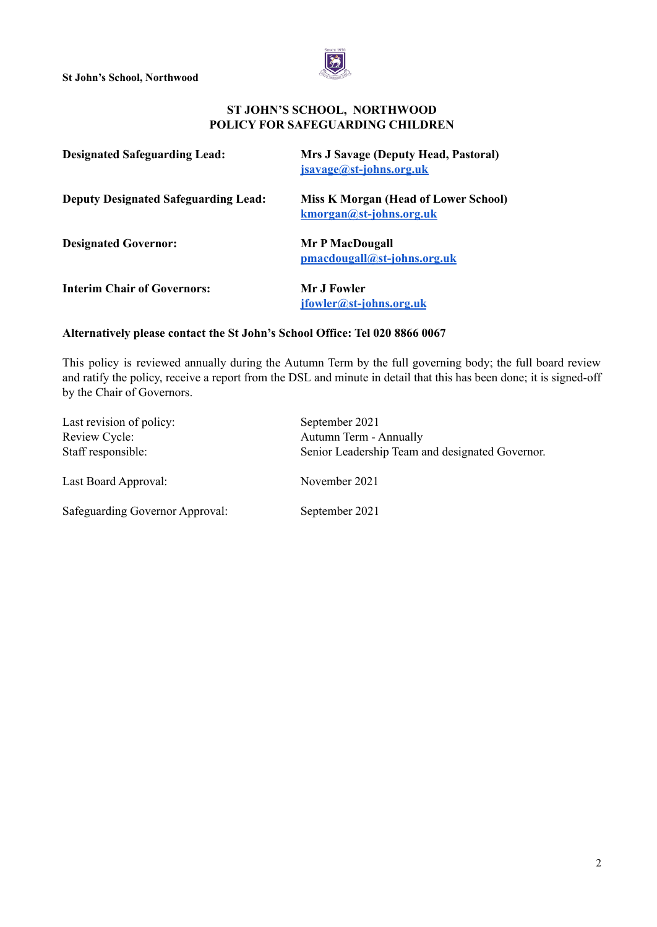

#### **ST JOHN'S SCHOOL, NORTHWOOD POLICY FOR SAFEGUARDING CHILDREN**

| <b>Designated Safeguarding Lead:</b>        | <b>Mrs J Savage (Deputy Head, Pastoral)</b><br>jsavage@st-johns.org.uk |
|---------------------------------------------|------------------------------------------------------------------------|
| <b>Deputy Designated Safeguarding Lead:</b> | <b>Miss K Morgan (Head of Lower School)</b><br>kmorgan@st-johns.org.uk |
| <b>Designated Governor:</b>                 | Mr P MacDougall<br>pmacdougall@st-johns.org.uk                         |
| <b>Interim Chair of Governors:</b>          | Mr J Fowler<br>jfowler@st-johns.org.uk                                 |

#### **Alternatively please contact the St John's School Office: Tel 020 8866 0067**

This policy is reviewed annually during the Autumn Term by the full governing body; the full board review and ratify the policy, receive a report from the DSL and minute in detail that this has been done; it is signed-off by the Chair of Governors.

| Last revision of policy:<br>Review Cycle: | September 2021<br><b>Autumn Term - Annually</b> |
|-------------------------------------------|-------------------------------------------------|
| Staff responsible:                        | Senior Leadership Team and designated Governor. |
| Last Board Approval:                      | November 2021                                   |
| Safeguarding Governor Approval:           | September 2021                                  |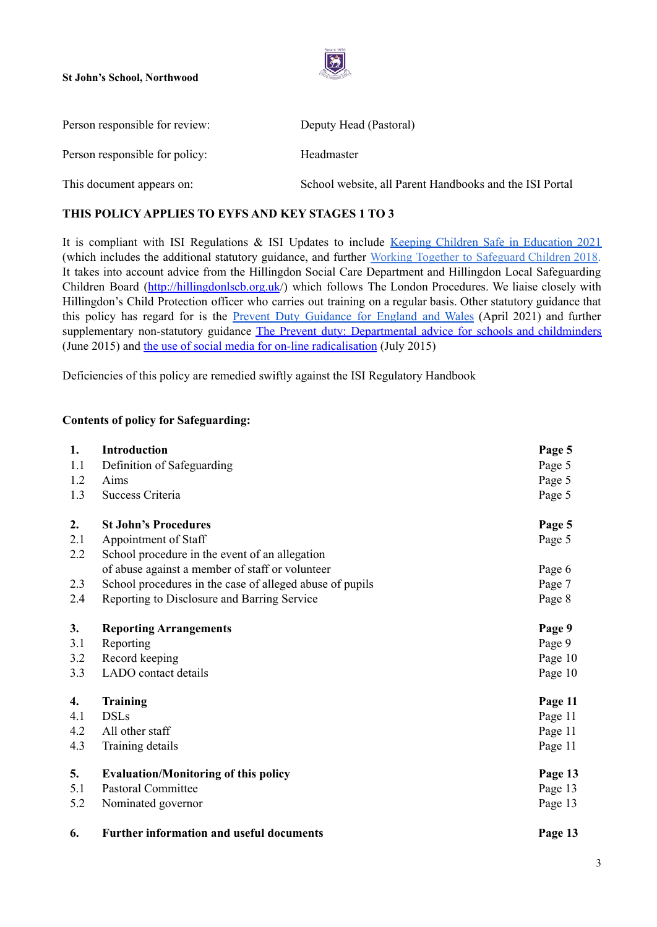

| Person responsible for review: | Deputy Head (Pastoral)                                  |
|--------------------------------|---------------------------------------------------------|
| Person responsible for policy: | Headmaster                                              |
| This document appears on:      | School website, all Parent Handbooks and the ISI Portal |

#### **THIS POLICY APPLIES TO EYFS AND KEY STAGES 1 TO 3**

It is compliant with ISI Regulations & ISI Updates to include Keeping Children Safe in [Education](https://assets.publishing.service.gov.uk/government/uploads/system/uploads/attachment_data/file/999348/Keeping_children_safe_in_education_2021.pdf) 2021 (which includes the additional statutory guidance, and further Working Together to [Safeguard](https://assets.publishing.service.gov.uk/government/uploads/system/uploads/attachment_data/file/729914/Working_Together_to_Safeguard_Children-2018.pdf) Children 2018. It takes into account advice from the Hillingdon Social Care Department and Hillingdon Local Safeguarding Children Board [\(http://hillingdonlscb.org.uk](http://hillingdonlscb.org.uk/)/) which follows The London Procedures. We liaise closely with Hillingdon's Child Protection officer who carries out training on a regular basis. Other statutory guidance that this policy has regard for is the Prevent Duty [Guidance](https://www.gov.uk/government/publications/prevent-duty-guidance/revised-prevent-duty-guidance-for-england-and-wales) for England and Wales (April 2021) and further supplementary non-statutory guidance The Prevent duty: [Departmental](https://www.gov.uk/government/uploads/system/uploads/attachment_data/file/439598/prevent-duty-departmental-advice-v6.pdf) advice for schools and childminders (June 2015) and the use of social media for on-line [radicalisation](https://www.gov.uk/government/uploads/system/uploads/attachment_data/file/440450/How_social_media_is_used_to_encourage_travel_to_Syria_and_Iraq.pdf) (July 2015)

Deficiencies of this policy are remedied swiftly against the ISI Regulatory Handbook

#### **Contents of policy for Safeguarding:**

| 1.  | <b>Introduction</b>                                      | Page 5  |
|-----|----------------------------------------------------------|---------|
| 1.1 | Definition of Safeguarding                               | Page 5  |
| 1.2 | Aims                                                     | Page 5  |
| 1.3 | Success Criteria                                         | Page 5  |
| 2.  | <b>St John's Procedures</b>                              | Page 5  |
| 2.1 | Appointment of Staff                                     | Page 5  |
| 2.2 | School procedure in the event of an allegation           |         |
|     | of abuse against a member of staff or volunteer          | Page 6  |
| 2.3 | School procedures in the case of alleged abuse of pupils | Page 7  |
| 2.4 | Reporting to Disclosure and Barring Service              | Page 8  |
| 3.  | <b>Reporting Arrangements</b>                            | Page 9  |
| 3.1 | Reporting                                                | Page 9  |
| 3.2 | Record keeping                                           | Page 10 |
| 3.3 | LADO contact details                                     | Page 10 |
| 4.  | <b>Training</b>                                          | Page 11 |
| 4.1 | <b>DSLs</b>                                              | Page 11 |
| 4.2 | All other staff                                          | Page 11 |
| 4.3 | Training details                                         | Page 11 |
| 5.  | <b>Evaluation/Monitoring of this policy</b>              | Page 13 |
| 5.1 | <b>Pastoral Committee</b>                                | Page 13 |
| 5.2 | Nominated governor                                       | Page 13 |
| 6.  | <b>Further information and useful documents</b>          | Page 13 |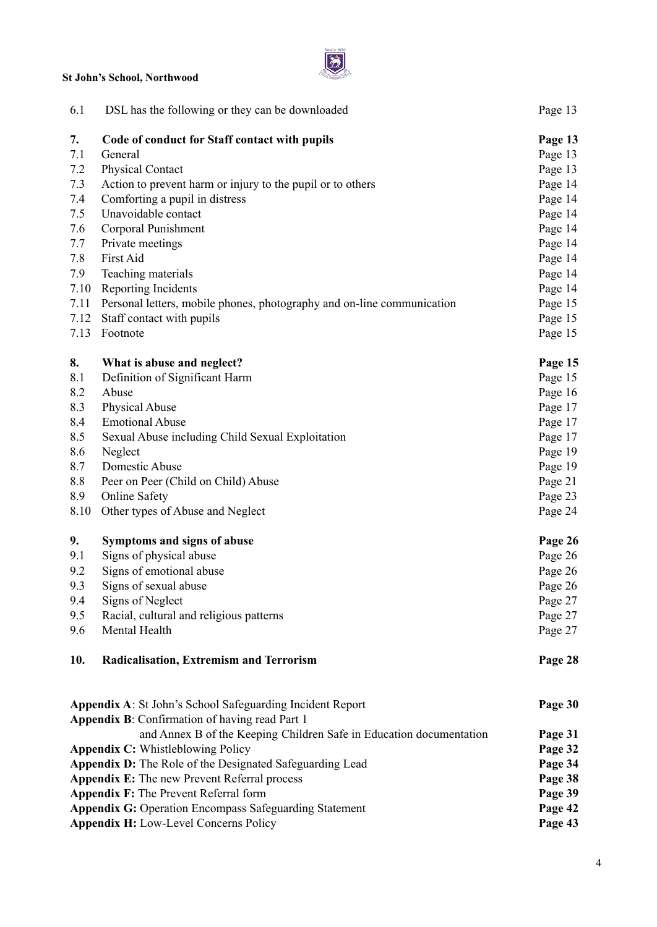

| 6.1                                   | DSL has the following or they can be downloaded                                                             | Page 13            |
|---------------------------------------|-------------------------------------------------------------------------------------------------------------|--------------------|
| 7.                                    | Code of conduct for Staff contact with pupils                                                               | Page 13            |
| 7.1                                   | General                                                                                                     | Page 13            |
| 7.2                                   | <b>Physical Contact</b>                                                                                     | Page 13            |
| 7.3                                   | Action to prevent harm or injury to the pupil or to others                                                  | Page 14            |
| 7.4                                   | Comforting a pupil in distress                                                                              | Page 14            |
| 7.5                                   | Unavoidable contact                                                                                         | Page 14            |
| 7.6                                   | Corporal Punishment                                                                                         | Page 14            |
| 7.7                                   | Private meetings                                                                                            | Page 14            |
| 7.8                                   | <b>First Aid</b>                                                                                            | Page 14            |
| 7.9                                   | Teaching materials                                                                                          | Page 14            |
| 7.10                                  | Reporting Incidents                                                                                         | Page 14            |
| 7.11                                  | Personal letters, mobile phones, photography and on-line communication                                      | Page 15            |
| 7.12                                  | Staff contact with pupils                                                                                   | Page 15            |
| 7.13                                  | Footnote                                                                                                    | Page 15            |
| 8.                                    | What is abuse and neglect?                                                                                  | Page 15            |
| 8.1                                   | Definition of Significant Harm                                                                              | Page 15            |
| 8.2                                   | Abuse                                                                                                       | Page 16            |
| 8.3                                   | Physical Abuse                                                                                              | Page 17            |
| 8.4                                   | <b>Emotional Abuse</b>                                                                                      | Page 17            |
| 8.5                                   | Sexual Abuse including Child Sexual Exploitation                                                            | Page 17            |
| 8.6                                   | Neglect                                                                                                     | Page 19            |
| 8.7                                   | Domestic Abuse                                                                                              | Page 19            |
| 8.8                                   | Peer on Peer (Child on Child) Abuse                                                                         | Page 21            |
| 8.9                                   | <b>Online Safety</b>                                                                                        | Page 23            |
| 8.10                                  | Other types of Abuse and Neglect                                                                            | Page 24            |
| 9.                                    | Symptoms and signs of abuse                                                                                 | Page 26            |
| 9.1                                   | Signs of physical abuse                                                                                     | Page 26            |
| 9.2                                   | Signs of emotional abuse                                                                                    | Page 26            |
| 9.3                                   | Signs of sexual abuse                                                                                       | Page 26            |
| 9.4                                   | Signs of Neglect                                                                                            | Page 27            |
| 9.5                                   | Racial, cultural and religious patterns                                                                     | Page 27            |
| 9.6                                   | Mental Health                                                                                               | Page 27            |
| 10.                                   | <b>Radicalisation, Extremism and Terrorism</b>                                                              | Page 28            |
|                                       |                                                                                                             |                    |
|                                       | Appendix A: St John's School Safeguarding Incident Report<br>Appendix B: Confirmation of having read Part 1 | Page 30            |
|                                       | and Annex B of the Keeping Children Safe in Education documentation                                         |                    |
|                                       | <b>Appendix C: Whistleblowing Policy</b>                                                                    | Page 31<br>Page 32 |
|                                       | Appendix D: The Role of the Designated Safeguarding Lead                                                    | Page 34            |
|                                       | Appendix E: The new Prevent Referral process                                                                | Page 38            |
| Appendix F: The Prevent Referral form |                                                                                                             |                    |
|                                       | <b>Appendix G: Operation Encompass Safeguarding Statement</b>                                               | Page 39<br>Page 42 |
|                                       |                                                                                                             |                    |

**Appendix H:** Low-Level Concerns Policy **Page 43**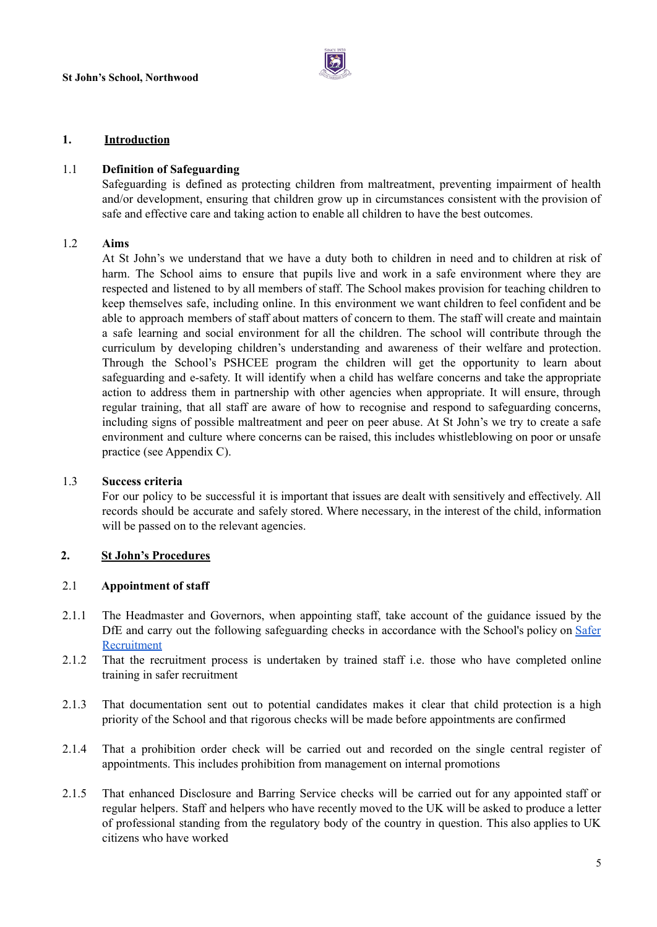

#### **1. Introduction**

#### 1.1 **Definition of Safeguarding**

Safeguarding is defined as protecting children from maltreatment, preventing impairment of health and/or development, ensuring that children grow up in circumstances consistent with the provision of safe and effective care and taking action to enable all children to have the best outcomes.

#### 1.2 **Aims**

At St John's we understand that we have a duty both to children in need and to children at risk of harm. The School aims to ensure that pupils live and work in a safe environment where they are respected and listened to by all members of staff. The School makes provision for teaching children to keep themselves safe, including online. In this environment we want children to feel confident and be able to approach members of staff about matters of concern to them. The staff will create and maintain a safe learning and social environment for all the children. The school will contribute through the curriculum by developing children's understanding and awareness of their welfare and protection. Through the School's PSHCEE program the children will get the opportunity to learn about safeguarding and e-safety. It will identify when a child has welfare concerns and take the appropriate action to address them in partnership with other agencies when appropriate. It will ensure, through regular training, that all staff are aware of how to recognise and respond to safeguarding concerns, including signs of possible maltreatment and peer on peer abuse. At St John's we try to create a safe environment and culture where concerns can be raised, this includes whistleblowing on poor or unsafe practice (see Appendix C).

#### 1.3 **Success criteria**

For our policy to be successful it is important that issues are dealt with sensitively and effectively. All records should be accurate and safely stored. Where necessary, in the interest of the child, information will be passed on to the relevant agencies.

#### **2. St John's Procedures**

#### 2.1 **Appointment of staff**

- 2.1.1 The Headmaster and Governors, when appointing staff, take account of the guidance issued by the DfE and carry out the following safeguarding checks in accordance with the School's policy on [Safer](https://docs.google.com/document/d/1eIEtUK_-hTEL04NqEQUpkWxQ4jg228H_KgbhSwb1wic/edit) [Recruitment](https://docs.google.com/document/d/1eIEtUK_-hTEL04NqEQUpkWxQ4jg228H_KgbhSwb1wic/edit)
- 2.1.2 That the recruitment process is undertaken by trained staff i.e. those who have completed online training in safer recruitment
- 2.1.3 That documentation sent out to potential candidates makes it clear that child protection is a high priority of the School and that rigorous checks will be made before appointments are confirmed
- 2.1.4 That a prohibition order check will be carried out and recorded on the single central register of appointments. This includes prohibition from management on internal promotions
- 2.1.5 That enhanced Disclosure and Barring Service checks will be carried out for any appointed staff or regular helpers. Staff and helpers who have recently moved to the UK will be asked to produce a letter of professional standing from the regulatory body of the country in question. This also applies to UK citizens who have worked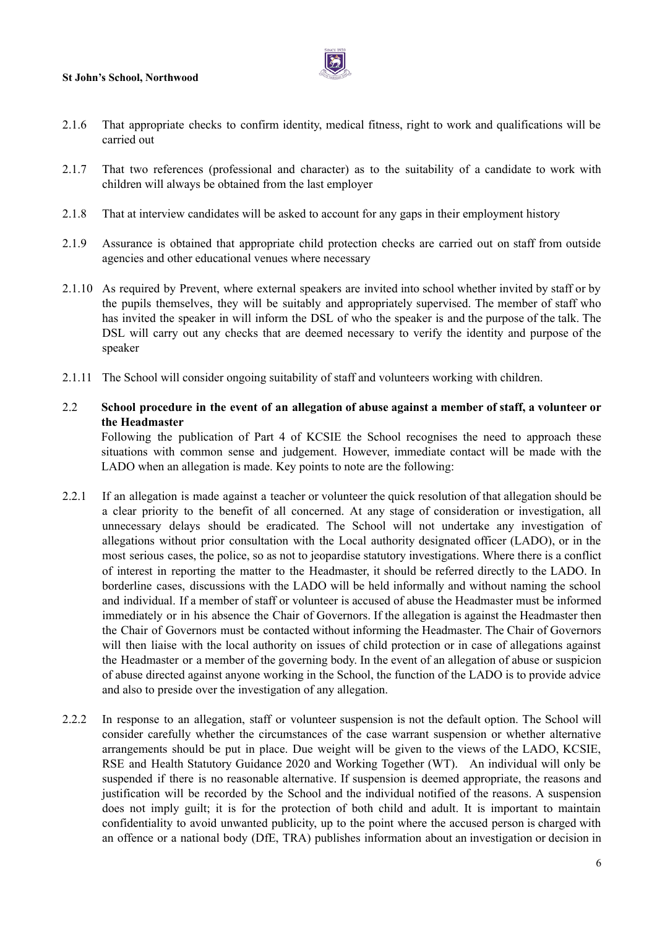

- 2.1.6 That appropriate checks to confirm identity, medical fitness, right to work and qualifications will be carried out
- 2.1.7 That two references (professional and character) as to the suitability of a candidate to work with children will always be obtained from the last employer
- 2.1.8 That at interview candidates will be asked to account for any gaps in their employment history
- 2.1.9 Assurance is obtained that appropriate child protection checks are carried out on staff from outside agencies and other educational venues where necessary
- 2.1.10 As required by Prevent, where external speakers are invited into school whether invited by staff or by the pupils themselves, they will be suitably and appropriately supervised. The member of staff who has invited the speaker in will inform the DSL of who the speaker is and the purpose of the talk. The DSL will carry out any checks that are deemed necessary to verify the identity and purpose of the speaker
- 2.1.11 The School will consider ongoing suitability of staff and volunteers working with children.

#### 2.2 School procedure in the event of an allegation of abuse against a member of staff, a volunteer or **the Headmaster**

Following the publication of Part 4 of KCSIE the School recognises the need to approach these situations with common sense and judgement. However, immediate contact will be made with the LADO when an allegation is made. Key points to note are the following:

- 2.2.1 If an allegation is made against a teacher or volunteer the quick resolution of that allegation should be a clear priority to the benefit of all concerned. At any stage of consideration or investigation, all unnecessary delays should be eradicated. The School will not undertake any investigation of allegations without prior consultation with the Local authority designated officer (LADO), or in the most serious cases, the police, so as not to jeopardise statutory investigations. Where there is a conflict of interest in reporting the matter to the Headmaster, it should be referred directly to the LADO. In borderline cases, discussions with the LADO will be held informally and without naming the school and individual. If a member of staff or volunteer is accused of abuse the Headmaster must be informed immediately or in his absence the Chair of Governors. If the allegation is against the Headmaster then the Chair of Governors must be contacted without informing the Headmaster. The Chair of Governors will then liaise with the local authority on issues of child protection or in case of allegations against the Headmaster or a member of the governing body. In the event of an allegation of abuse or suspicion of abuse directed against anyone working in the School, the function of the LADO is to provide advice and also to preside over the investigation of any allegation.
- 2.2.2 In response to an allegation, staff or volunteer suspension is not the default option. The School will consider carefully whether the circumstances of the case warrant suspension or whether alternative arrangements should be put in place. Due weight will be given to the views of the LADO, KCSIE, RSE and Health Statutory Guidance 2020 and Working Together (WT). An individual will only be suspended if there is no reasonable alternative. If suspension is deemed appropriate, the reasons and justification will be recorded by the School and the individual notified of the reasons. A suspension does not imply guilt; it is for the protection of both child and adult. It is important to maintain confidentiality to avoid unwanted publicity, up to the point where the accused person is charged with an offence or a national body (DfE, TRA) publishes information about an investigation or decision in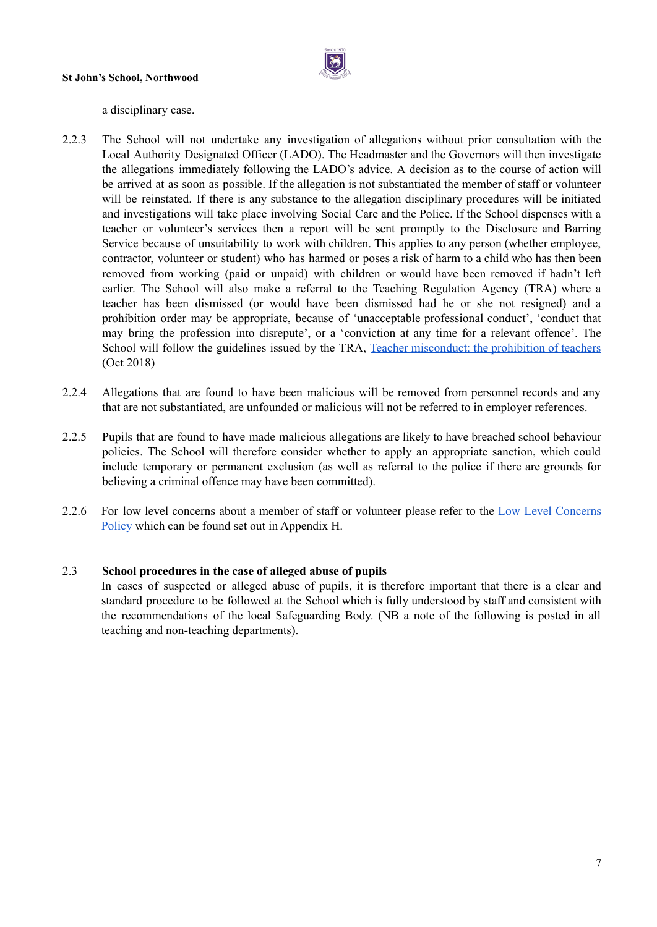

a disciplinary case.

- 2.2.3 The School will not undertake any investigation of allegations without prior consultation with the Local Authority Designated Officer (LADO). The Headmaster and the Governors will then investigate the allegations immediately following the LADO's advice. A decision as to the course of action will be arrived at as soon as possible. If the allegation is not substantiated the member of staff or volunteer will be reinstated. If there is any substance to the allegation disciplinary procedures will be initiated and investigations will take place involving Social Care and the Police. If the School dispenses with a teacher or volunteer's services then a report will be sent promptly to the Disclosure and Barring Service because of unsuitability to work with children. This applies to any person (whether employee, contractor, volunteer or student) who has harmed or poses a risk of harm to a child who has then been removed from working (paid or unpaid) with children or would have been removed if hadn't left earlier. The School will also make a referral to the Teaching Regulation Agency (TRA) where a teacher has been dismissed (or would have been dismissed had he or she not resigned) and a prohibition order may be appropriate, because of 'unacceptable professional conduct', 'conduct that may bring the profession into disrepute', or a 'conviction at any time for a relevant offence'. The School will follow the guidelines issued by the TRA, Teacher [misconduct:](https://www.gov.uk/government/uploads/system/uploads/attachment_data/file/495028/Teacher_Misconduct_The_Prohibition_of_Teachers_advice_updated_26_Jan_2016.pdf) the prohibition of teachers (Oct 2018)
- 2.2.4 Allegations that are found to have been malicious will be removed from personnel records and any that are not substantiated, are unfounded or malicious will not be referred to in employer references.
- 2.2.5 Pupils that are found to have made malicious allegations are likely to have breached school behaviour policies. The School will therefore consider whether to apply an appropriate sanction, which could include temporary or permanent exclusion (as well as referral to the police if there are grounds for believing a criminal offence may have been committed).
- 2.2.6 For low level concerns about a member of staff or volunteer please refer to the Low Level [Concerns](https://docs.google.com/document/u/0/d/1t6fFiZn8Qw8-IJEsuMurneFafDlecLT7DBN9GXufEaE/edit) Policy which can be found set out in [Appendix](https://docs.google.com/document/u/0/d/1t6fFiZn8Qw8-IJEsuMurneFafDlecLT7DBN9GXufEaE/edit) H.

#### 2.3 **School procedures in the case of alleged abuse of pupils**

In cases of suspected or alleged abuse of pupils, it is therefore important that there is a clear and standard procedure to be followed at the School which is fully understood by staff and consistent with the recommendations of the local Safeguarding Body. (NB a note of the following is posted in all teaching and non-teaching departments).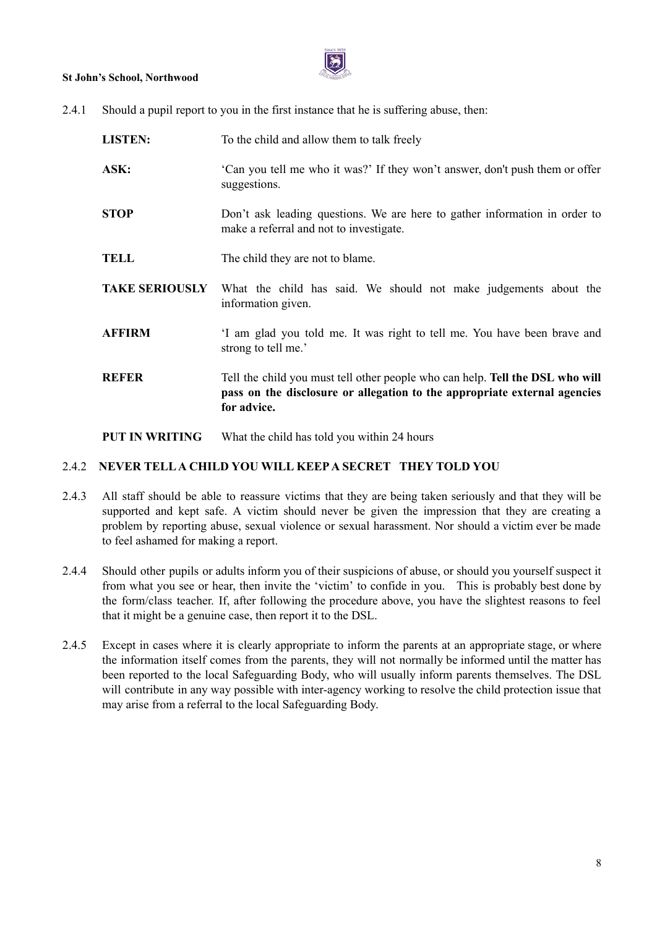

2.4.1 Should a pupil report to you in the first instance that he is suffering abuse, then:

| <b>LISTEN:</b>        | To the child and allow them to talk freely                                                                                                                                |
|-----------------------|---------------------------------------------------------------------------------------------------------------------------------------------------------------------------|
| ASK:                  | Can you tell me who it was?' If they won't answer, don't push them or offer<br>suggestions.                                                                               |
| <b>STOP</b>           | Don't ask leading questions. We are here to gather information in order to<br>make a referral and not to investigate.                                                     |
| <b>TELL</b>           | The child they are not to blame.                                                                                                                                          |
| <b>TAKE SERIOUSLY</b> | What the child has said. We should not make judgements about the<br>information given.                                                                                    |
| <b>AFFIRM</b>         | 'I am glad you told me. It was right to tell me. You have been brave and<br>strong to tell me.'                                                                           |
| <b>REFER</b>          | Tell the child you must tell other people who can help. Tell the DSL who will<br>pass on the disclosure or allegation to the appropriate external agencies<br>for advice. |

**PUT IN WRITING** What the child has told you within 24 hours

#### 2.4.2 **NEVER TELLA CHILD YOU WILL KEEPA SECRET THEY TOLD YOU**

- 2.4.3 All staff should be able to reassure victims that they are being taken seriously and that they will be supported and kept safe. A victim should never be given the impression that they are creating a problem by reporting abuse, sexual violence or sexual harassment. Nor should a victim ever be made to feel ashamed for making a report.
- 2.4.4 Should other pupils or adults inform you of their suspicions of abuse, or should you yourself suspect it from what you see or hear, then invite the 'victim' to confide in you. This is probably best done by the form/class teacher. If, after following the procedure above, you have the slightest reasons to feel that it might be a genuine case, then report it to the DSL.
- 2.4.5 Except in cases where it is clearly appropriate to inform the parents at an appropriate stage, or where the information itself comes from the parents, they will not normally be informed until the matter has been reported to the local Safeguarding Body, who will usually inform parents themselves. The DSL will contribute in any way possible with inter-agency working to resolve the child protection issue that may arise from a referral to the local Safeguarding Body.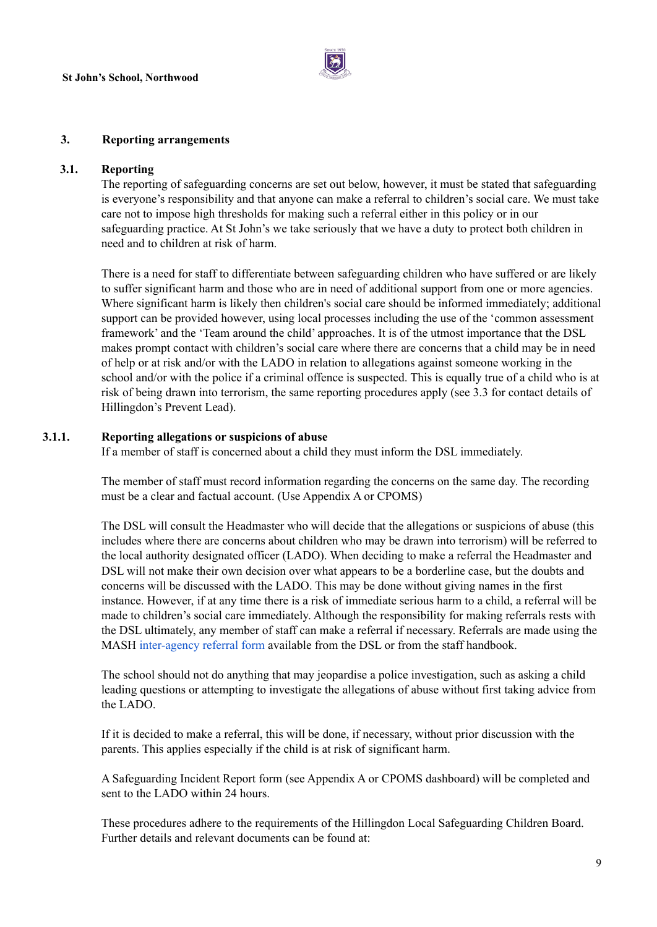

#### **3. Reporting arrangements**

#### **3.1. Reporting**

The reporting of safeguarding concerns are set out below, however, it must be stated that safeguarding is everyone's responsibility and that anyone can make a referral to children's social care. We must take care not to impose high thresholds for making such a referral either in this policy or in our safeguarding practice. At St John's we take seriously that we have a duty to protect both children in need and to children at risk of harm.

There is a need for staff to differentiate between safeguarding children who have suffered or are likely to suffer significant harm and those who are in need of additional support from one or more agencies. Where significant harm is likely then children's social care should be informed immediately; additional support can be provided however, using local processes including the use of the 'common assessment framework' and the 'Team around the child' approaches. It is of the utmost importance that the DSL makes prompt contact with children's social care where there are concerns that a child may be in need of help or at risk and/or with the LADO in relation to allegations against someone working in the school and/or with the police if a criminal offence is suspected. This is equally true of a child who is at risk of being drawn into terrorism, the same reporting procedures apply (see 3.3 for contact details of Hillingdon's Prevent Lead).

#### **3.1.1. Reporting allegations or suspicions of abuse**

If a member of staff is concerned about a child they must inform the DSL immediately.

The member of staff must record information regarding the concerns on the same day. The recording must be a clear and factual account. (Use Appendix A or CPOMS)

The DSL will consult the Headmaster who will decide that the allegations or suspicions of abuse (this includes where there are concerns about children who may be drawn into terrorism) will be referred to the local authority designated officer (LADO). When deciding to make a referral the Headmaster and DSL will not make their own decision over what appears to be a borderline case, but the doubts and concerns will be discussed with the LADO. This may be done without giving names in the first instance. However, if at any time there is a risk of immediate serious harm to a child, a referral will be made to children's social care immediately. Although the responsibility for making referrals rests with the DSL ultimately, any member of staff can make a referral if necessary. Referrals are made using the MASH [inter-agency](https://drive.google.com/file/d/0BwHsVZ_wmvPJMnpNLVRWa3liRjA/view?usp=sharing) referral form available from the DSL or from the staff handbook.

The school should not do anything that may jeopardise a police investigation, such as asking a child leading questions or attempting to investigate the allegations of abuse without first taking advice from the LADO.

If it is decided to make a referral, this will be done, if necessary, without prior discussion with the parents. This applies especially if the child is at risk of significant harm.

A Safeguarding Incident Report form (see Appendix A or CPOMS dashboard) will be completed and sent to the LADO within 24 hours.

These procedures adhere to the requirements of the Hillingdon Local Safeguarding Children Board. Further details and relevant documents can be found at: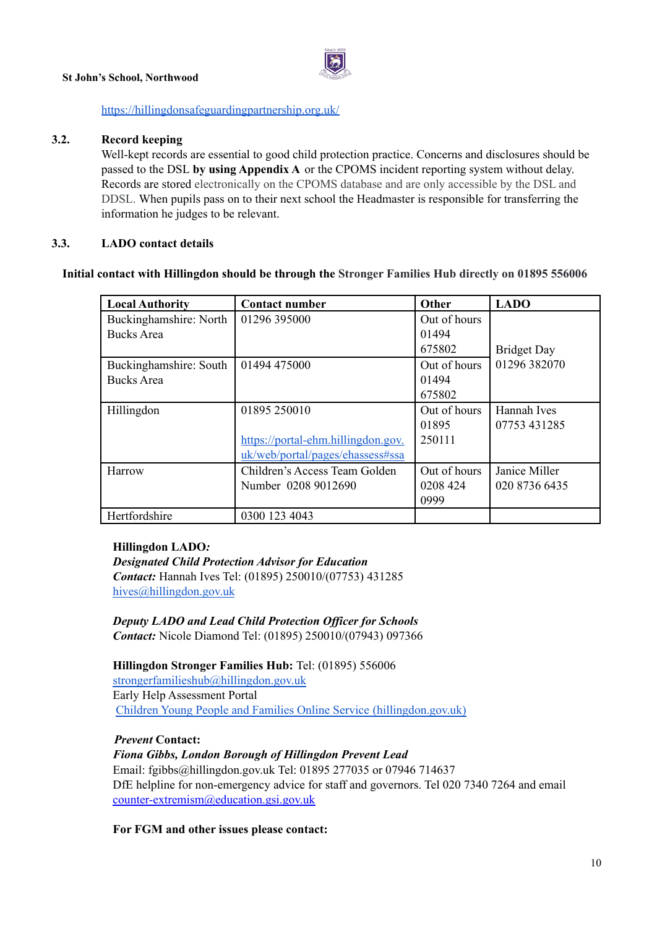

#### <https://hillingdonsafeguardingpartnership.org.uk/>

#### **3.2. Record keeping**

Well-kept records are essential to good child protection practice. Concerns and disclosures should be passed to the DSL **by using Appendix A** or the CPOMS incident reporting system without delay. Records are stored electronically on the CPOMS database and are only accessible by the DSL and DDSL. When pupils pass on to their next school the Headmaster is responsible for transferring the information he judges to be relevant.

#### **3.3. LADO contact details**

#### **Initial contact with Hillingdon should be through the Stronger Families Hub directly on 01895 556006**

| <b>Local Authority</b> | <b>Contact number</b>              | Other        | <b>LADO</b>        |
|------------------------|------------------------------------|--------------|--------------------|
| Buckinghamshire: North | 01296 395000                       | Out of hours |                    |
| <b>Bucks</b> Area      |                                    | 01494        |                    |
|                        |                                    | 675802       | <b>Bridget Day</b> |
| Buckinghamshire: South | 01494 475000                       | Out of hours | 01296 382070       |
| <b>Bucks</b> Area      |                                    | 01494        |                    |
|                        |                                    | 675802       |                    |
| Hillingdon             | 01895 250010                       | Out of hours | Hannah Ives        |
|                        |                                    | 01895        | 07753 431285       |
|                        | https://portal-ehm.hillingdon.gov. | 250111       |                    |
|                        | uk/web/portal/pages/ehassess#ssa   |              |                    |
| Harrow                 | Children's Access Team Golden      | Out of hours | Janice Miller      |
|                        | Number 0208 9012690                | 0208 424     | 020 8736 6435      |
|                        |                                    | 0999         |                    |
| Hertfordshire          | 0300 123 4043                      |              |                    |

#### **Hillingdon LADO***:*

*Designated Child Protection Advisor for Education Contact:* Hannah Ives Tel: (01895) 250010/(07753) 431285 [hives@hillingdon.gov.uk](mailto:hives@hillingdon.gov.uk)

*Deputy LADO and Lead Child Protection Of icer for Schools Contact:* Nicole Diamond Tel: (01895) 250010/(07943) 097366

**Hillingdon Stronger Families Hub:** Tel: (01895) 556006 [strongerfamilieshub@hillingdon.gov.uk](mailto:strongerfamilieshub@hillingdon.gov.uk) Early Help Assessment Portal Children Young People and Families Online Service [\(hillingdon.gov.uk\)](https://us-east-2.protection.sophos.com?d=hillingdon.gov.uk&u=aHR0cHM6Ly9wb3J0YWwtZWhtLmhpbGxpbmdkb24uZ292LnVrL3dlYi9wb3J0YWwvcGFnZXMvaG9tZQ==&i=NWJiMzUyYTc1YTEyMGMxMzJiOWFlZjA4&t=a1BTanVzNXF3VmhXd3FqWW1XQ1h6V1ErVXB5dUdQc3I4Tit2Q21Xb0g3VT0=&h=60dc5ec0d76c4cbdaf9a9cd12ce8f2a8)

#### *Prevent* **Contact:**

#### *Fiona Gibbs, London Borough of Hillingdon Prevent Lead* Email: [fgibbs@hillingdon.gov.uk](mailto:fgibbs@hillingdon.gov.uk) Tel: 01895 277035 or 07946 714637 DfE helpline for non-emergency advice for staff and governors. Tel 020 7340 7264 and email [counter-extremism@education.gsi.gov.uk](mailto:counter-extremism@education.gsi.gov.uk)

**For FGM and other issues please contact:**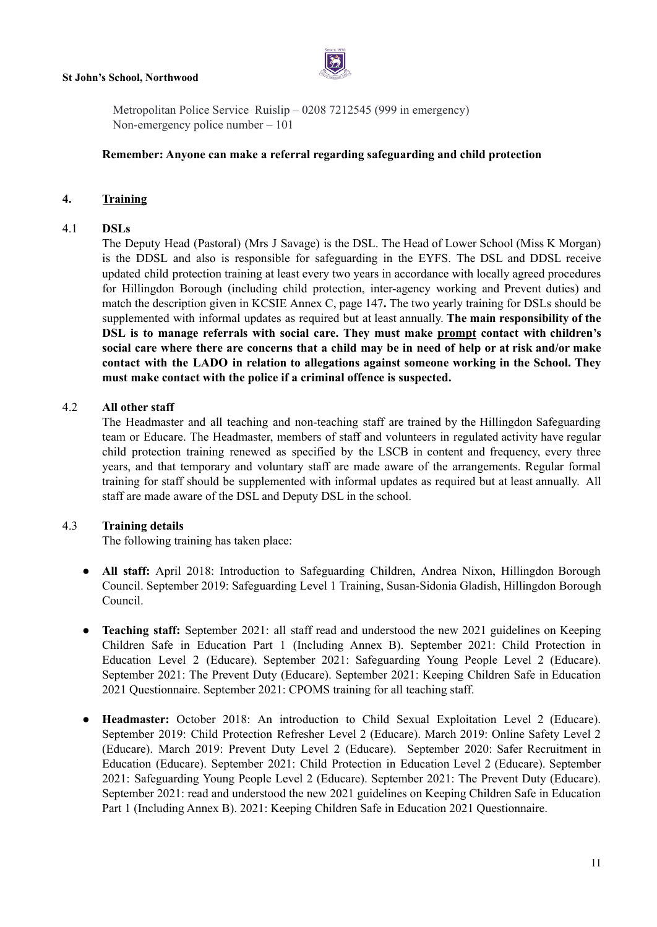

Metropolitan Police Service Ruislip – 0208 7212545 (999 in emergency) Non-emergency police number – 101

#### **Remember: Anyone can make a referral regarding safeguarding and child protection**

#### **4. Training**

#### 4.1 **DSLs**

The Deputy Head (Pastoral) (Mrs J Savage) is the DSL. The Head of Lower School (Miss K Morgan) is the DDSL and also is responsible for safeguarding in the EYFS. The DSL and DDSL receive updated child protection training at least every two years in accordance with locally agreed procedures for Hillingdon Borough (including child protection, inter-agency working and Prevent duties) and match the description given in KCSIE Annex C, page 147**.** The two yearly training for DSLs should be supplemented with informal updates as required but at least annually. **The main responsibility of the DSL is to manage referrals with social care. They must make prompt contact with children's** social care where there are concerns that a child may be in need of help or at risk and/or make **contact with the LADO in relation to allegations against someone working in the School. They must make contact with the police if a criminal offence is suspected.**

#### 4.2 **All other staff**

The Headmaster and all teaching and non-teaching staff are trained by the Hillingdon Safeguarding team or Educare. The Headmaster, members of staff and volunteers in regulated activity have regular child protection training renewed as specified by the LSCB in content and frequency, every three years, and that temporary and voluntary staff are made aware of the arrangements. Regular formal training for staff should be supplemented with informal updates as required but at least annually. All staff are made aware of the DSL and Deputy DSL in the school.

#### 4.3 **Training details**

The following training has taken place:

- **All staff:** April 2018: Introduction to Safeguarding Children, Andrea Nixon, Hillingdon Borough Council. September 2019: Safeguarding Level 1 Training, Susan-Sidonia Gladish, Hillingdon Borough Council.
- **Teaching staff:** September 2021: all staff read and understood the new 2021 guidelines on Keeping Children Safe in Education Part 1 (Including Annex B). September 2021: Child Protection in Education Level 2 (Educare). September 2021: Safeguarding Young People Level 2 (Educare). September 2021: The Prevent Duty (Educare). September 2021: Keeping Children Safe in Education 2021 Questionnaire. September 2021: CPOMS training for all teaching staff.
- **Headmaster:** October 2018: An introduction to Child Sexual Exploitation Level 2 (Educare). September 2019: Child Protection Refresher Level 2 (Educare). March 2019: Online Safety Level 2 (Educare). March 2019: Prevent Duty Level 2 (Educare). September 2020: Safer Recruitment in Education (Educare). September 2021: Child Protection in Education Level 2 (Educare). September 2021: Safeguarding Young People Level 2 (Educare). September 2021: The Prevent Duty (Educare). September 2021: read and understood the new 2021 guidelines on Keeping Children Safe in Education Part 1 (Including Annex B). 2021: Keeping Children Safe in Education 2021 Questionnaire.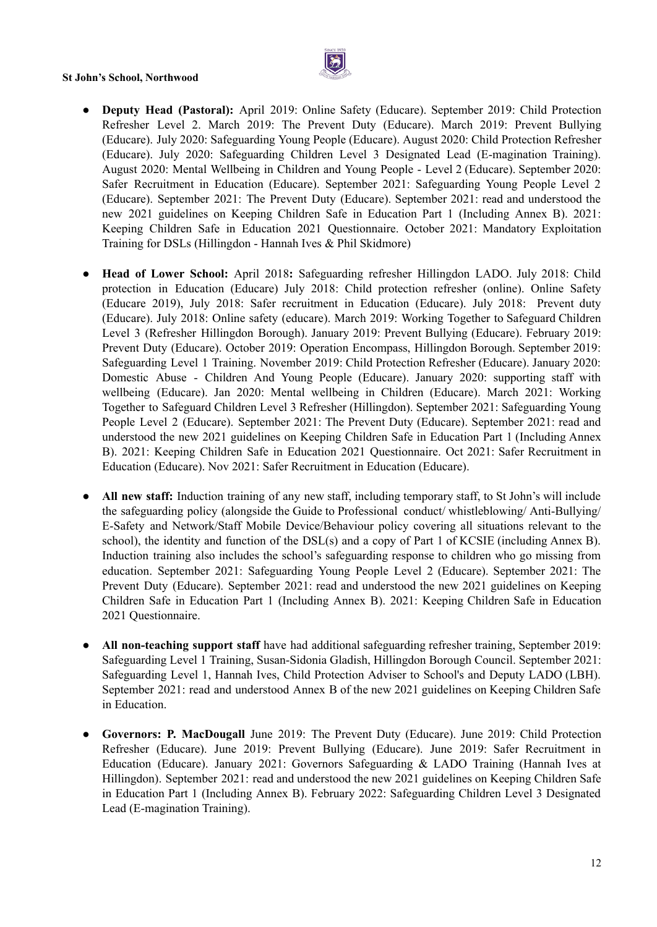

- **Deputy Head (Pastoral):** April 2019: Online Safety (Educare). September 2019: Child Protection Refresher Level 2. March 2019: The Prevent Duty (Educare). March 2019: Prevent Bullying (Educare). July 2020: Safeguarding Young People (Educare). August 2020: Child Protection Refresher (Educare). July 2020: Safeguarding Children Level 3 Designated Lead (E-magination Training). August 2020: Mental Wellbeing in Children and Young People - Level 2 (Educare). September 2020: Safer Recruitment in Education (Educare). September 2021: Safeguarding Young People Level 2 (Educare). September 2021: The Prevent Duty (Educare). September 2021: read and understood the new 2021 guidelines on Keeping Children Safe in Education Part 1 (Including Annex B). 2021: Keeping Children Safe in Education 2021 Questionnaire. October 2021: Mandatory Exploitation Training for DSLs (Hillingdon - Hannah Ives & Phil Skidmore)
- **Head of Lower School:** April 2018**:** Safeguarding refresher Hillingdon LADO. July 2018: Child protection in Education (Educare) July 2018: Child protection refresher (online). Online Safety (Educare 2019), July 2018: Safer recruitment in Education (Educare). July 2018: Prevent duty (Educare). July 2018: Online safety (educare). March 2019: Working Together to Safeguard Children Level 3 (Refresher Hillingdon Borough). January 2019: Prevent Bullying (Educare). February 2019: Prevent Duty (Educare). October 2019: Operation Encompass, Hillingdon Borough. September 2019: Safeguarding Level 1 Training. November 2019: Child Protection Refresher (Educare). January 2020: Domestic Abuse - Children And Young People (Educare). January 2020: supporting staff with wellbeing (Educare). Jan 2020: Mental wellbeing in Children (Educare). March 2021: Working Together to Safeguard Children Level 3 Refresher (Hillingdon). September 2021: Safeguarding Young People Level 2 (Educare). September 2021: The Prevent Duty (Educare). September 2021: read and understood the new 2021 guidelines on Keeping Children Safe in Education Part 1 (Including Annex B). 2021: Keeping Children Safe in Education 2021 Questionnaire. Oct 2021: Safer Recruitment in Education (Educare). Nov 2021: Safer Recruitment in Education (Educare).
- **All new staff:** Induction training of any new staff, including temporary staff, to St John's will include the safeguarding policy (alongside the Guide to Professional conduct/ whistleblowing/ Anti-Bullying/ E-Safety and Network/Staff Mobile Device/Behaviour policy covering all situations relevant to the school), the identity and function of the DSL(s) and a copy of Part 1 of KCSIE (including Annex B). Induction training also includes the school's safeguarding response to children who go missing from education. September 2021: Safeguarding Young People Level 2 (Educare). September 2021: The Prevent Duty (Educare). September 2021: read and understood the new 2021 guidelines on Keeping Children Safe in Education Part 1 (Including Annex B). 2021: Keeping Children Safe in Education 2021 Questionnaire.
- **All non-teaching support staff** have had additional safeguarding refresher training, September 2019: Safeguarding Level 1 Training, Susan-Sidonia Gladish, Hillingdon Borough Council. September 2021: Safeguarding Level 1, Hannah Ives, Child Protection Adviser to School's and Deputy LADO (LBH). September 2021: read and understood Annex B of the new 2021 guidelines on Keeping Children Safe in Education.
- **● Governors: P. MacDougall** June 2019: The Prevent Duty (Educare). June 2019: Child Protection Refresher (Educare). June 2019: Prevent Bullying (Educare). June 2019: Safer Recruitment in Education (Educare). January 2021: Governors Safeguarding & LADO Training (Hannah Ives at Hillingdon). September 2021: read and understood the new 2021 guidelines on Keeping Children Safe in Education Part 1 (Including Annex B). February 2022: Safeguarding Children Level 3 Designated Lead (E-magination Training).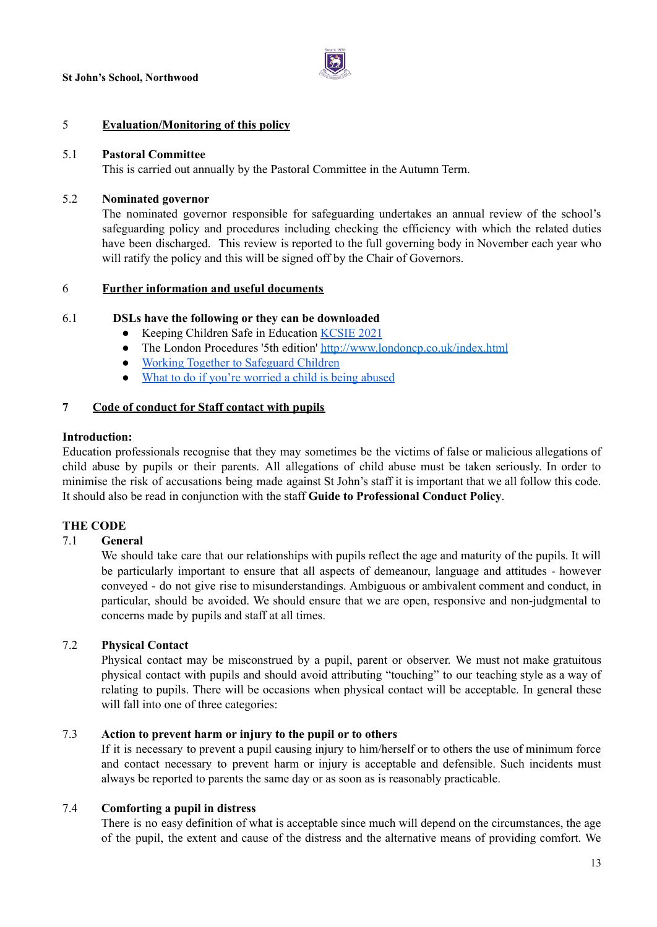

#### 5 **Evaluation/Monitoring of this policy**

#### 5.1 **Pastoral Committee**

This is carried out annually by the Pastoral Committee in the Autumn Term.

#### 5.2 **Nominated governor**

The nominated governor responsible for safeguarding undertakes an annual review of the school's safeguarding policy and procedures including checking the efficiency with which the related duties have been discharged. This review is reported to the full governing body in November each year who will ratify the policy and this will be signed off by the Chair of Governors.

#### 6 **Further information and useful documents**

#### 6.1 **DSLs have the following or they can be downloaded**

- Keeping Children Safe in Education [KCSIE](https://assets.publishing.service.gov.uk/government/uploads/system/uploads/attachment_data/file/999348/Keeping_children_safe_in_education_2021.pdf) 2021
- The London Procedures '5th edition' <http://www.londoncp.co.uk/index.html>
- Working Together to [Safeguard](https://assets.publishing.service.gov.uk/government/uploads/system/uploads/attachment_data/file/942454/Working_together_to_safeguard_children_inter_agency_guidance.pdf) Children
- What to do if you're [worried](https://assets.publishing.service.gov.uk/government/uploads/system/uploads/attachment_data/file/419604/What_to_do_if_you_re_worried_a_child_is_being_abused.pdf) a child is being abused

#### **7 Code of conduct for Staff contact with pupils**

#### **Introduction:**

Education professionals recognise that they may sometimes be the victims of false or malicious allegations of child abuse by pupils or their parents. All allegations of child abuse must be taken seriously. In order to minimise the risk of accusations being made against St John's staff it is important that we all follow this code. It should also be read in conjunction with the staff **Guide to Professional Conduct Policy**.

#### **THE CODE**

#### 7.1 **General**

We should take care that our relationships with pupils reflect the age and maturity of the pupils. It will be particularly important to ensure that all aspects of demeanour, language and attitudes - however conveyed - do not give rise to misunderstandings. Ambiguous or ambivalent comment and conduct, in particular, should be avoided. We should ensure that we are open, responsive and non-judgmental to concerns made by pupils and staff at all times.

#### 7.2 **Physical Contact**

Physical contact may be misconstrued by a pupil, parent or observer. We must not make gratuitous physical contact with pupils and should avoid attributing "touching" to our teaching style as a way of relating to pupils. There will be occasions when physical contact will be acceptable. In general these will fall into one of three categories:

#### 7.3 **Action to prevent harm or injury to the pupil or to others**

If it is necessary to prevent a pupil causing injury to him/herself or to others the use of minimum force and contact necessary to prevent harm or injury is acceptable and defensible. Such incidents must always be reported to parents the same day or as soon as is reasonably practicable.

#### 7.4 **Comforting a pupil in distress**

There is no easy definition of what is acceptable since much will depend on the circumstances, the age of the pupil, the extent and cause of the distress and the alternative means of providing comfort. We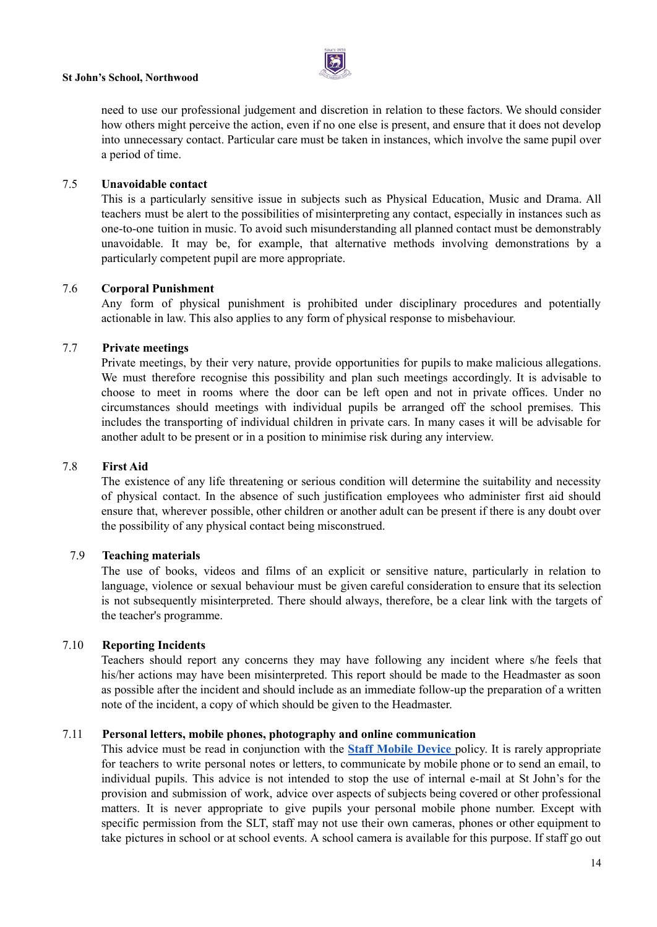need to use our professional judgement and discretion in relation to these factors. We should consider how others might perceive the action, even if no one else is present, and ensure that it does not develop into unnecessary contact. Particular care must be taken in instances, which involve the same pupil over a period of time.

#### 7.5 **Unavoidable contact**

This is a particularly sensitive issue in subjects such as Physical Education, Music and Drama. All teachers must be alert to the possibilities of misinterpreting any contact, especially in instances such as one-to-one tuition in music. To avoid such misunderstanding all planned contact must be demonstrably unavoidable. It may be, for example, that alternative methods involving demonstrations by a particularly competent pupil are more appropriate.

#### 7.6 **Corporal Punishment**

Any form of physical punishment is prohibited under disciplinary procedures and potentially actionable in law. This also applies to any form of physical response to misbehaviour.

#### 7.7 **Private meetings**

Private meetings, by their very nature, provide opportunities for pupils to make malicious allegations. We must therefore recognise this possibility and plan such meetings accordingly. It is advisable to choose to meet in rooms where the door can be left open and not in private offices. Under no circumstances should meetings with individual pupils be arranged off the school premises. This includes the transporting of individual children in private cars. In many cases it will be advisable for another adult to be present or in a position to minimise risk during any interview.

#### 7.8 **First Aid**

The existence of any life threatening or serious condition will determine the suitability and necessity of physical contact. In the absence of such justification employees who administer first aid should ensure that, wherever possible, other children or another adult can be present if there is any doubt over the possibility of any physical contact being misconstrued.

#### 7.9 **Teaching materials**

The use of books, videos and films of an explicit or sensitive nature, particularly in relation to language, violence or sexual behaviour must be given careful consideration to ensure that its selection is not subsequently misinterpreted. There should always, therefore, be a clear link with the targets of the teacher's programme.

#### 7.10 **Reporting Incidents**

Teachers should report any concerns they may have following any incident where s/he feels that his/her actions may have been misinterpreted. This report should be made to the Headmaster as soon as possible after the incident and should include as an immediate follow-up the preparation of a written note of the incident, a copy of which should be given to the Headmaster.

#### 7.11 **Personal letters, mobile phones, photography and online communication**

This advice must be read in conjunction with the **Staff [Mobile](https://docs.google.com/document/d/1WR7Z5Rm1xNCTOaCOfMamdTUtneuzIxyRgOQtCcFGFyQ/edit) Device** policy. It is rarely appropriate for teachers to write personal notes or letters, to communicate by mobile phone or to send an email, to individual pupils. This advice is not intended to stop the use of internal e-mail at St John's for the provision and submission of work, advice over aspects of subjects being covered or other professional matters. It is never appropriate to give pupils your personal mobile phone number. Except with specific permission from the SLT, staff may not use their own cameras, phones or other equipment to take pictures in school or at school events. A school camera is available for this purpose. If staff go out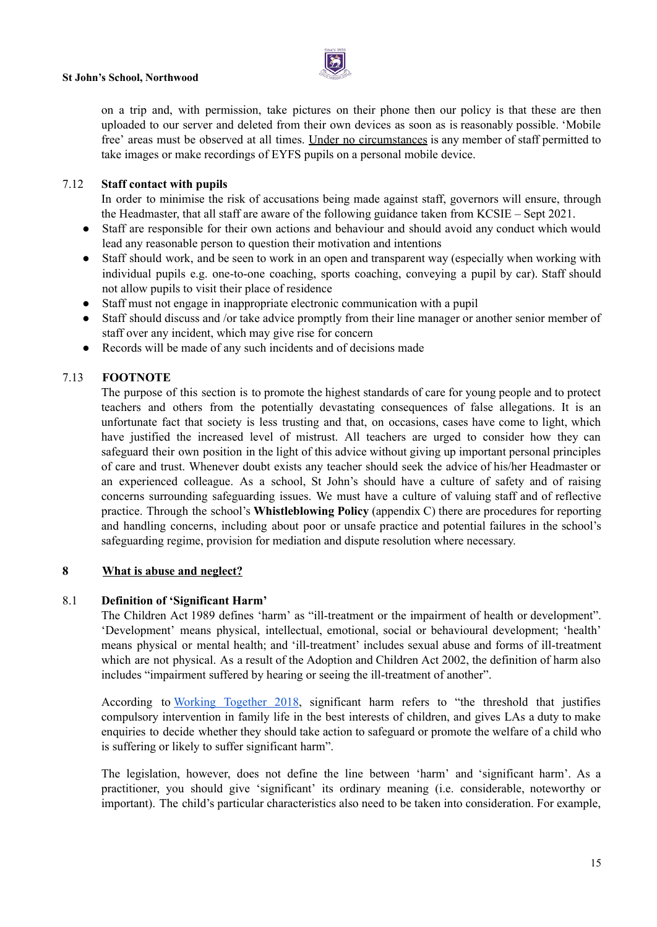

on a trip and, with permission, take pictures on their phone then our policy is that these are then uploaded to our server and deleted from their own devices as soon as is reasonably possible. 'Mobile free' areas must be observed at all times. Under no circumstances is any member of staff permitted to take images or make recordings of EYFS pupils on a personal mobile device.

#### 7.12 **Staff contact with pupils**

In order to minimise the risk of accusations being made against staff, governors will ensure, through the Headmaster, that all staff are aware of the following guidance taken from KCSIE – Sept 2021.

- Staff are responsible for their own actions and behaviour and should avoid any conduct which would lead any reasonable person to question their motivation and intentions
- Staff should work, and be seen to work in an open and transparent way (especially when working with individual pupils e.g. one-to-one coaching, sports coaching, conveying a pupil by car). Staff should not allow pupils to visit their place of residence
- Staff must not engage in inappropriate electronic communication with a pupil
- Staff should discuss and /or take advice promptly from their line manager or another senior member of staff over any incident, which may give rise for concern
- Records will be made of any such incidents and of decisions made

#### 7.13 **FOOTNOTE**

The purpose of this section is to promote the highest standards of care for young people and to protect teachers and others from the potentially devastating consequences of false allegations. It is an unfortunate fact that society is less trusting and that, on occasions, cases have come to light, which have justified the increased level of mistrust. All teachers are urged to consider how they can safeguard their own position in the light of this advice without giving up important personal principles of care and trust. Whenever doubt exists any teacher should seek the advice of his/her Headmaster or an experienced colleague. As a school, St John's should have a culture of safety and of raising concerns surrounding safeguarding issues. We must have a culture of valuing staff and of reflective practice. Through the school's **Whistleblowing Policy** (appendix C) there are procedures for reporting and handling concerns, including about poor or unsafe practice and potential failures in the school's safeguarding regime, provision for mediation and dispute resolution where necessary.

#### **8 What is abuse and neglect?**

#### 8.1 **Definition of 'Significant Harm'**

The Children Act 1989 defines 'harm' as "ill-treatment or the impairment of health or development". 'Development' means physical, intellectual, emotional, social or behavioural development; 'health' means physical or mental health; and 'ill-treatment' includes sexual abuse and forms of ill-treatment which are not physical. As a result of the Adoption and Children Act 2002, the definition of harm also includes "impairment suffered by hearing or seeing the ill-treatment of another".

According to Working [Together](https://assets.publishing.service.gov.uk/government/uploads/system/uploads/attachment_data/file/779401/Working_Together_to_Safeguard-Children.pdf) 2018, significant harm refers to "the threshold that justifies compulsory intervention in family life in the best interests of children, and gives LAs a duty to make enquiries to decide whether they should take action to safeguard or promote the welfare of a child who is suffering or likely to suffer significant harm".

The legislation, however, does not define the line between 'harm' and 'significant harm'. As a practitioner, you should give 'significant' its ordinary meaning (i.e. considerable, noteworthy or important). The child's particular characteristics also need to be taken into consideration. For example,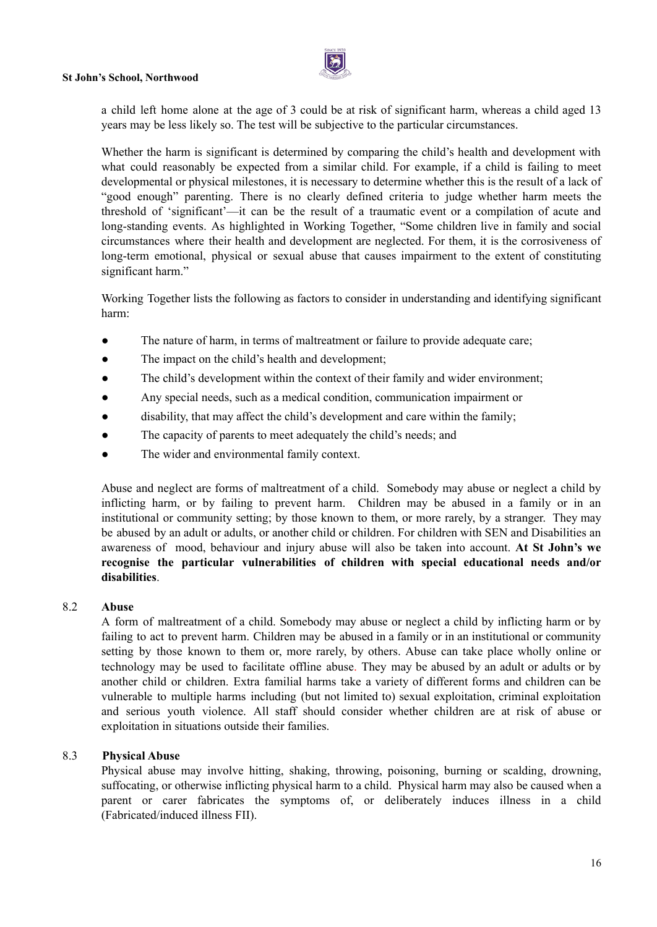

a child left home alone at the age of 3 could be at risk of significant harm, whereas a child aged 13 years may be less likely so. The test will be subjective to the particular circumstances.

Whether the harm is significant is determined by comparing the child's health and development with what could reasonably be expected from a similar child. For example, if a child is failing to meet developmental or physical milestones, it is necessary to determine whether this is the result of a lack of "good enough" parenting. There is no clearly defined criteria to judge whether harm meets the threshold of 'significant'—it can be the result of a traumatic event or a compilation of acute and long-standing events. As highlighted in Working Together, "Some children live in family and social circumstances where their health and development are neglected. For them, it is the corrosiveness of long-term emotional, physical or sexual abuse that causes impairment to the extent of constituting significant harm."

Working Together lists the following as factors to consider in understanding and identifying significant harm:

- The nature of harm, in terms of maltreatment or failure to provide adequate care;
- The impact on the child's health and development;
- The child's development within the context of their family and wider environment;
- Any special needs, such as a medical condition, communication impairment or
- disability, that may affect the child's development and care within the family;
- The capacity of parents to meet adequately the child's needs; and
- The wider and environmental family context.

Abuse and neglect are forms of maltreatment of a child. Somebody may abuse or neglect a child by inflicting harm, or by failing to prevent harm. Children may be abused in a family or in an institutional or community setting; by those known to them, or more rarely, by a stranger. They may be abused by an adult or adults, or another child or children. For children with SEN and Disabilities an awareness of mood, behaviour and injury abuse will also be taken into account. **At St John's we recognise the particular vulnerabilities of children with special educational needs and/or disabilities**.

#### 8.2 **Abuse**

A form of maltreatment of a child. Somebody may abuse or neglect a child by inflicting harm or by failing to act to prevent harm. Children may be abused in a family or in an institutional or community setting by those known to them or, more rarely, by others. Abuse can take place wholly online or technology may be used to facilitate offline abuse. They may be abused by an adult or adults or by another child or children. Extra familial harms take a variety of different forms and children can be vulnerable to multiple harms including (but not limited to) sexual exploitation, criminal exploitation and serious youth violence. All staff should consider whether children are at risk of abuse or exploitation in situations outside their families.

#### 8.3 **Physical Abuse**

Physical abuse may involve hitting, shaking, throwing, poisoning, burning or scalding, drowning, suffocating, or otherwise inflicting physical harm to a child. Physical harm may also be caused when a parent or carer fabricates the symptoms of, or deliberately induces illness in a child (Fabricated/induced illness FII).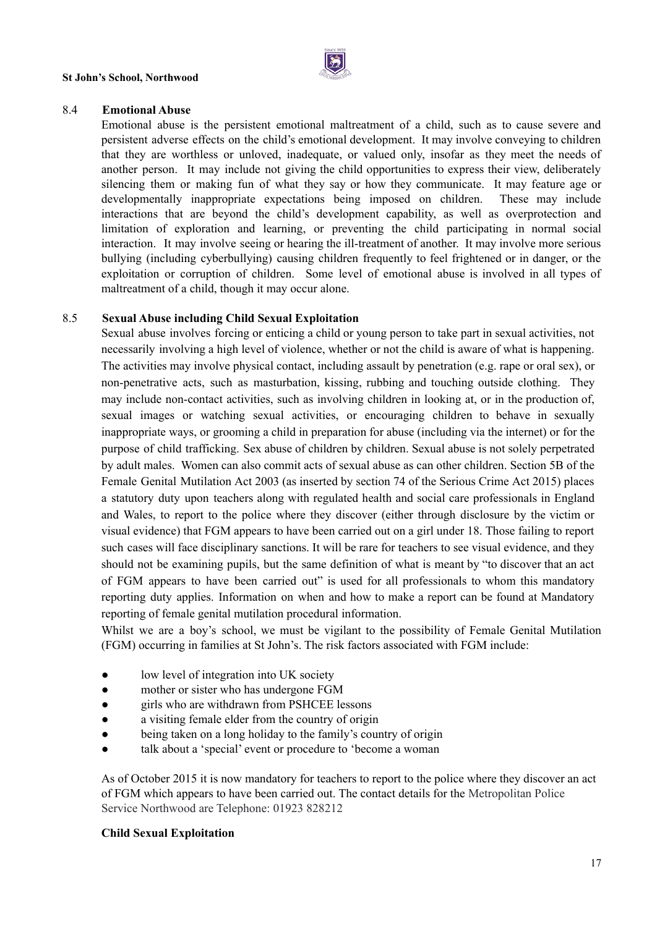

#### 8.4 **Emotional Abuse**

Emotional abuse is the persistent emotional maltreatment of a child, such as to cause severe and persistent adverse effects on the child's emotional development. It may involve conveying to children that they are worthless or unloved, inadequate, or valued only, insofar as they meet the needs of another person. It may include not giving the child opportunities to express their view, deliberately silencing them or making fun of what they say or how they communicate. It may feature age or developmentally inappropriate expectations being imposed on children. These may include interactions that are beyond the child's development capability, as well as overprotection and limitation of exploration and learning, or preventing the child participating in normal social interaction. It may involve seeing or hearing the ill-treatment of another. It may involve more serious bullying (including cyberbullying) causing children frequently to feel frightened or in danger, or the exploitation or corruption of children. Some level of emotional abuse is involved in all types of maltreatment of a child, though it may occur alone.

#### 8.5 **Sexual Abuse including Child Sexual Exploitation**

Sexual abuse involves forcing or enticing a child or young person to take part in sexual activities, not necessarily involving a high level of violence, whether or not the child is aware of what is happening. The activities may involve physical contact, including assault by penetration (e.g. rape or oral sex), or non-penetrative acts, such as masturbation, kissing, rubbing and touching outside clothing. They may include non-contact activities, such as involving children in looking at, or in the production of, sexual images or watching sexual activities, or encouraging children to behave in sexually inappropriate ways, or grooming a child in preparation for abuse (including via the internet) or for the purpose of child trafficking. Sex abuse of children by children. Sexual abuse is not solely perpetrated by adult males. Women can also commit acts of sexual abuse as can other children. Section 5B of the Female Genital Mutilation Act 2003 (as inserted by section 74 of the Serious Crime Act 2015) places a statutory duty upon teachers along with regulated health and social care professionals in England and Wales, to report to the police where they discover (either through disclosure by the victim or visual evidence) that FGM appears to have been carried out on a girl under 18. Those failing to report such cases will face disciplinary sanctions. It will be rare for teachers to see visual evidence, and they should not be examining pupils, but the same definition of what is meant by "to discover that an act of FGM appears to have been carried out" is used for all professionals to whom this mandatory reporting duty applies. Information on when and how to make a report can be found at Mandatory reporting of female genital mutilation procedural information.

Whilst we are a boy's school, we must be vigilant to the possibility of Female Genital Mutilation (FGM) occurring in families at St John's. The risk factors associated with FGM include:

- low level of integration into UK society
- mother or sister who has undergone FGM
- girls who are withdrawn from PSHCEE lessons
- a visiting female elder from the country of origin
- being taken on a long holiday to the family's country of origin
- talk about a 'special' event or procedure to 'become a woman

As of October 2015 it is now mandatory for teachers to report to the police where they discover an act of FGM which appears to have been carried out. The contact details for the Metropolitan Police Service Northwood are Telephone: 01923 828212

#### **Child Sexual Exploitation**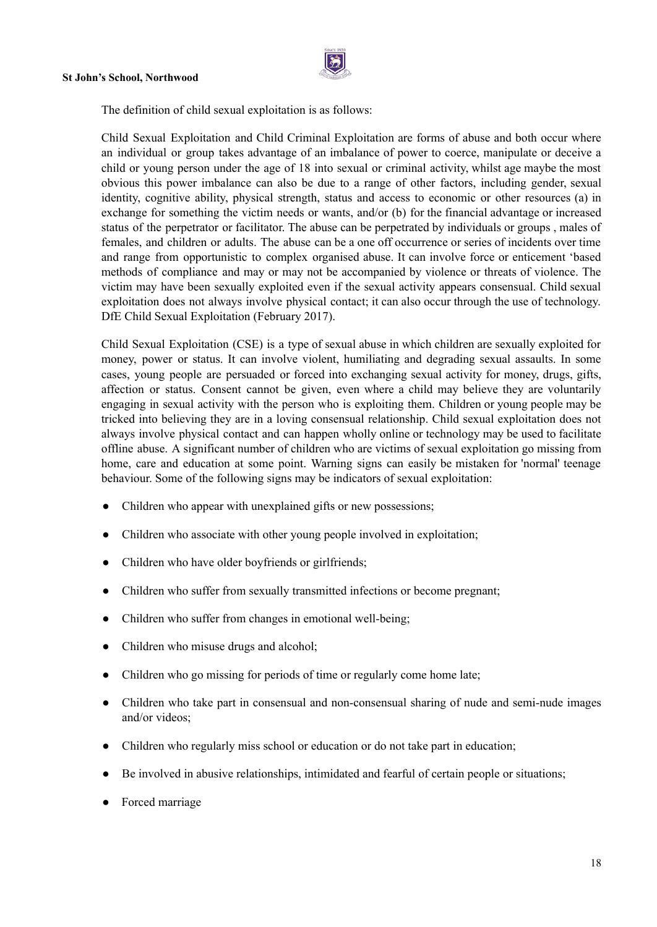

The definition of child sexual exploitation is as follows:

Child Sexual Exploitation and Child Criminal Exploitation are forms of abuse and both occur where an individual or group takes advantage of an imbalance of power to coerce, manipulate or deceive a child or young person under the age of 18 into sexual or criminal activity, whilst age maybe the most obvious this power imbalance can also be due to a range of other factors, including gender, sexual identity, cognitive ability, physical strength, status and access to economic or other resources (a) in exchange for something the victim needs or wants, and/or (b) for the financial advantage or increased status of the perpetrator or facilitator. The abuse can be perpetrated by individuals or groups , males of females, and children or adults. The abuse can be a one off occurrence or series of incidents over time and range from opportunistic to complex organised abuse. It can involve force or enticement 'based methods of compliance and may or may not be accompanied by violence or threats of violence. The victim may have been sexually exploited even if the sexual activity appears consensual. Child sexual exploitation does not always involve physical contact; it can also occur through the use of technology. DfE Child Sexual Exploitation (February 2017).

Child Sexual Exploitation (CSE) is a type of sexual abuse in which children are sexually exploited for money, power or status. It can involve violent, humiliating and degrading sexual assaults. In some cases, young people are persuaded or forced into exchanging sexual activity for money, drugs, gifts, affection or status. Consent cannot be given, even where a child may believe they are voluntarily engaging in sexual activity with the person who is exploiting them. Children or young people may be tricked into believing they are in a loving consensual relationship. Child sexual exploitation does not always involve physical contact and can happen wholly online or technology may be used to facilitate offline abuse. A significant number of children who are victims of sexual exploitation go missing from home, care and education at some point. Warning signs can easily be mistaken for 'normal' teenage behaviour. Some of the following signs may be indicators of sexual exploitation:

- Children who appear with unexplained gifts or new possessions;
- Children who associate with other young people involved in exploitation;
- Children who have older boyfriends or girlfriends:
- Children who suffer from sexually transmitted infections or become pregnant;
- Children who suffer from changes in emotional well-being;
- Children who misuse drugs and alcohol:
- Children who go missing for periods of time or regularly come home late;
- Children who take part in consensual and non-consensual sharing of nude and semi-nude images and/or videos;
- Children who regularly miss school or education or do not take part in education;
- Be involved in abusive relationships, intimidated and fearful of certain people or situations;
- Forced marriage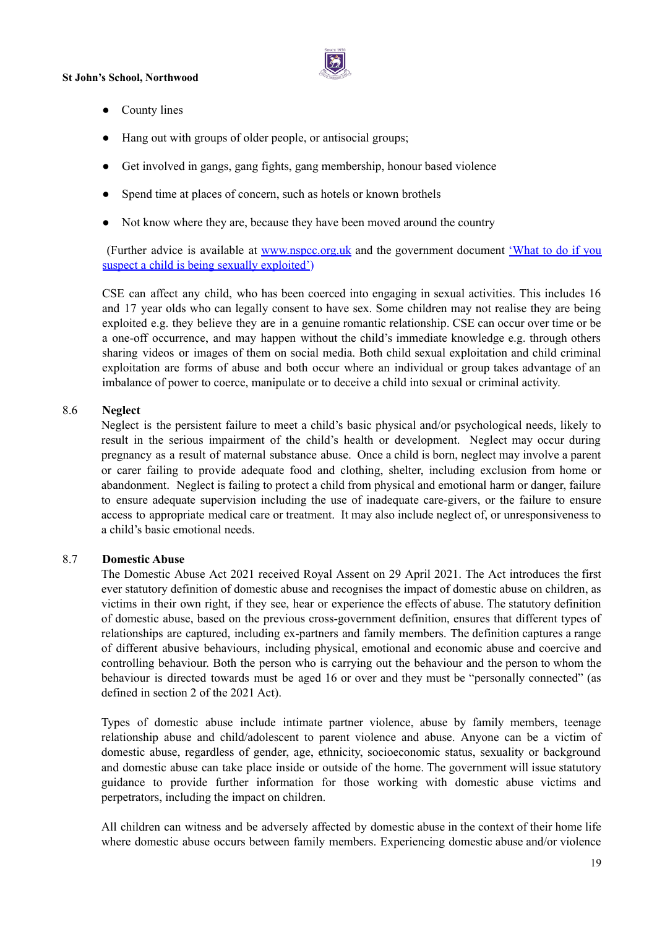

- County lines
- Hang out with groups of older people, or antisocial groups;
- Get involved in gangs, gang fights, gang membership, honour based violence
- Spend time at places of concern, such as hotels or known brothels
- Not know where they are, because they have been moved around the country

(Further advice is available at [www.nspcc.org.uk](http://www.nspcc.org.uk/) and the government document ['What](https://www.gov.uk/government/uploads/system/uploads/attachment_data/file/279511/step_by_step_guide.pdf) to do if you suspect a child is being sexually [exploited'](https://www.gov.uk/government/uploads/system/uploads/attachment_data/file/279511/step_by_step_guide.pdf))

CSE can affect any child, who has been coerced into engaging in sexual activities. This includes 16 and 17 year olds who can legally consent to have sex. Some children may not realise they are being exploited e.g. they believe they are in a genuine romantic relationship. CSE can occur over time or be a one-off occurrence, and may happen without the child's immediate knowledge e.g. through others sharing videos or images of them on social media. Both child sexual exploitation and child criminal exploitation are forms of abuse and both occur where an individual or group takes advantage of an imbalance of power to coerce, manipulate or to deceive a child into sexual or criminal activity.

#### 8.6 **Neglect**

Neglect is the persistent failure to meet a child's basic physical and/or psychological needs, likely to result in the serious impairment of the child's health or development. Neglect may occur during pregnancy as a result of maternal substance abuse. Once a child is born, neglect may involve a parent or carer failing to provide adequate food and clothing, shelter, including exclusion from home or abandonment. Neglect is failing to protect a child from physical and emotional harm or danger, failure to ensure adequate supervision including the use of inadequate care-givers, or the failure to ensure access to appropriate medical care or treatment. It may also include neglect of, or unresponsiveness to a child's basic emotional needs.

#### 8.7 **Domestic Abuse**

The Domestic Abuse Act 2021 received Royal Assent on 29 April 2021. The Act introduces the first ever statutory definition of domestic abuse and recognises the impact of domestic abuse on children, as victims in their own right, if they see, hear or experience the effects of abuse. The statutory definition of domestic abuse, based on the previous cross-government definition, ensures that different types of relationships are captured, including ex-partners and family members. The definition captures a range of different abusive behaviours, including physical, emotional and economic abuse and coercive and controlling behaviour. Both the person who is carrying out the behaviour and the person to whom the behaviour is directed towards must be aged 16 or over and they must be "personally connected" (as defined in section 2 of the 2021 Act).

Types of domestic abuse include intimate partner violence, abuse by family members, teenage relationship abuse and child/adolescent to parent violence and abuse. Anyone can be a victim of domestic abuse, regardless of gender, age, ethnicity, socioeconomic status, sexuality or background and domestic abuse can take place inside or outside of the home. The government will issue statutory guidance to provide further information for those working with domestic abuse victims and perpetrators, including the impact on children.

All children can witness and be adversely affected by domestic abuse in the context of their home life where domestic abuse occurs between family members. Experiencing domestic abuse and/or violence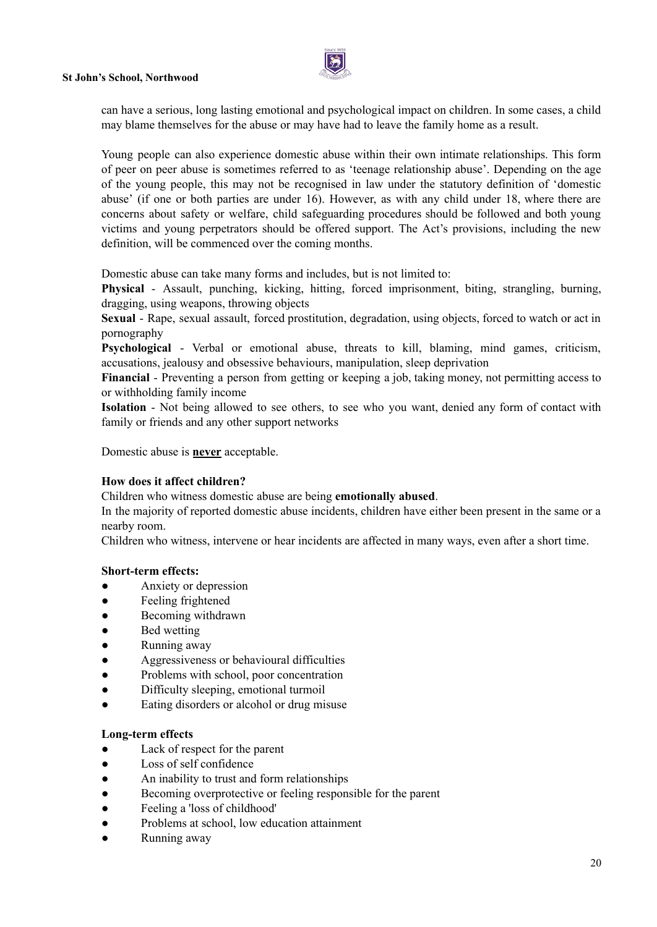

can have a serious, long lasting emotional and psychological impact on children. In some cases, a child may blame themselves for the abuse or may have had to leave the family home as a result.

Young people can also experience domestic abuse within their own intimate relationships. This form of peer on peer abuse is sometimes referred to as 'teenage relationship abuse'. Depending on the age of the young people, this may not be recognised in law under the statutory definition of 'domestic abuse' (if one or both parties are under 16). However, as with any child under 18, where there are concerns about safety or welfare, child safeguarding procedures should be followed and both young victims and young perpetrators should be offered support. The Act's provisions, including the new definition, will be commenced over the coming months.

Domestic abuse can take many forms and includes, but is not limited to:

**Physical** - Assault, punching, kicking, hitting, forced imprisonment, biting, strangling, burning, dragging, using weapons, throwing objects

**Sexual** - Rape, sexual assault, forced prostitution, degradation, using objects, forced to watch or act in pornography

**Psychological** - Verbal or emotional abuse, threats to kill, blaming, mind games, criticism, accusations, jealousy and obsessive behaviours, manipulation, sleep deprivation

**Financial** - Preventing a person from getting or keeping a job, taking money, not permitting access to or withholding family income

**Isolation** - Not being allowed to see others, to see who you want, denied any form of contact with family or friends and any other support networks

Domestic abuse is **never** acceptable.

#### **How does it affect children?**

Children who witness domestic abuse are being **emotionally abused**.

In the majority of reported domestic abuse incidents, children have either been present in the same or a nearby room.

Children who witness, intervene or hear incidents are affected in many ways, even after a short time.

#### **Short-term effects:**

- Anxiety or depression
- Feeling frightened
- Becoming withdrawn
- Bed wetting
- Running away
- Aggressiveness or behavioural difficulties
- Problems with school, poor concentration
- Difficulty sleeping, emotional turmoil
- Eating disorders or alcohol or drug misuse

#### **Long-term effects**

- Lack of respect for the parent
- Loss of self confidence
- An inability to trust and form relationships
- Becoming overprotective or feeling responsible for the parent
- Feeling a 'loss of childhood'
- Problems at school, low education attainment
- Running away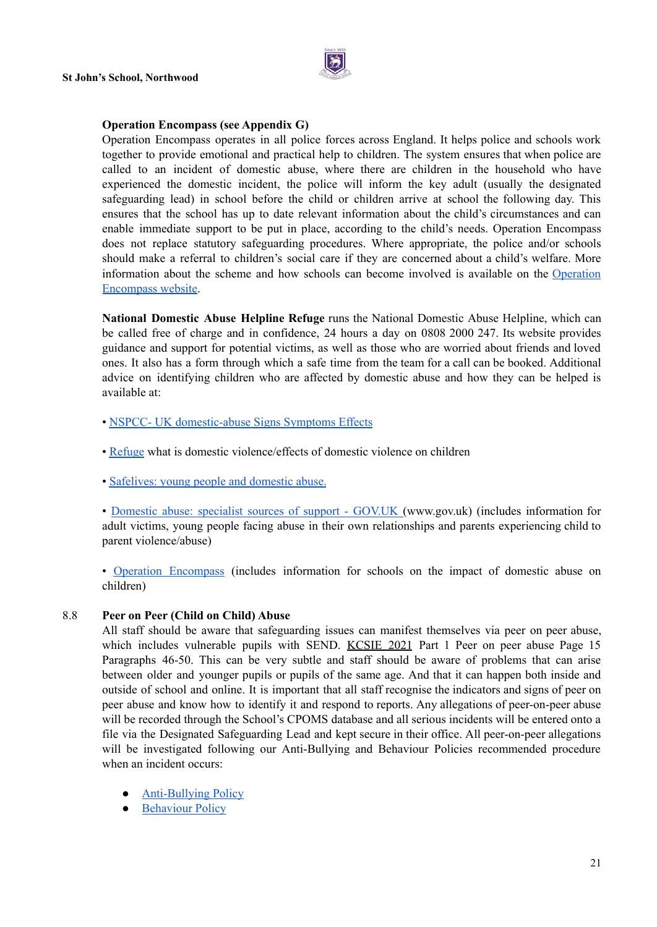

#### **Operation Encompass (see Appendix G)**

Operation Encompass operates in all police forces across England. It helps police and schools work together to provide emotional and practical help to children. The system ensures that when police are called to an incident of domestic abuse, where there are children in the household who have experienced the domestic incident, the police will inform the key adult (usually the designated safeguarding lead) in school before the child or children arrive at school the following day. This ensures that the school has up to date relevant information about the child's circumstances and can enable immediate support to be put in place, according to the child's needs. Operation Encompass does not replace statutory safeguarding procedures. Where appropriate, the police and/or schools should make a referral to children's social care if they are concerned about a child's welfare. More information about the scheme and how schools can become involved is available on the [Operation](https://www.operationencompass.org/) [Encompass](https://www.operationencompass.org/) website.

**National Domestic Abuse Helpline Refuge** runs the National Domestic Abuse Helpline, which can be called free of charge and in confidence, 24 hours a day on 0808 2000 247. Its website provides guidance and support for potential victims, as well as those who are worried about friends and loved ones. It also has a form through which a safe time from the team for a call can be booked. Additional advice on identifying children who are affected by domestic abuse and how they can be helped is available at:

- NSPCC- UK [domestic-abuse](https://www.nspcc.org.uk/what-is-child-abuse/types-of-abuse/domestic-abuse/) Signs Symptoms Effects
- [Refuge](https://www.refuge.org.uk/) what is domestic violence/effects of domestic violence on children
- [Safelives:](https://safelives.org.uk/knowledge-hub/spotlights/spotlight-3-young-people-and-domestic-abuse) young people and domestic abuse.

• [Domestic](https://www.gov.uk/government/publications/domestic-abuse-get-help-for-specific-needs-or-situations/domestic-abuse-specialist-sources-of-support) abuse: specialist sources of support - GOV.UK (www.gov.uk) (includes information for adult victims, young people facing abuse in their own relationships and parents experiencing child to parent violence/abuse)

• Operation [Encompass](https://www.operationencompass.org/) (includes information for schools on the impact of domestic abuse on children)

#### 8.8 **Peer on Peer (Child on Child) Abuse**

All staff should be aware that safeguarding issues can manifest themselves via peer on peer abuse, which includes vulnerable pupils with SEND. [KCSIE](https://assets.publishing.service.gov.uk/government/uploads/system/uploads/attachment_data/file/1007260/Keeping_children_safe_in_education_2021.pdf) 2021 Part 1 Peer on peer abuse Page 15 Paragraphs 46-50. This can be very subtle and staff should be aware of problems that can arise between older and younger pupils or pupils of the same age. And that it can happen both inside and outside of school and online. It is important that all staff recognise the indicators and signs of peer on peer abuse and know how to identify it and respond to reports. Any allegations of peer-on-peer abuse will be recorded through the School's CPOMS database and all serious incidents will be entered onto a file via the Designated Safeguarding Lead and kept secure in their office. All peer-on-peer allegations will be investigated following our Anti-Bullying and Behaviour Policies recommended procedure when an incident occurs:

- **[Anti-Bullying](https://docs.google.com/document/d/1Z7l-bDOzHnB1p-AIIM6OQgYui8oFX1UNW1susBcPYZQ/edit) Policy**
- [Behaviour](https://docs.google.com/document/d/1tkwxg-CoBclu1e1zNmdxtkPCVDwJCt2o21YZeiLrrRg/edit) Policy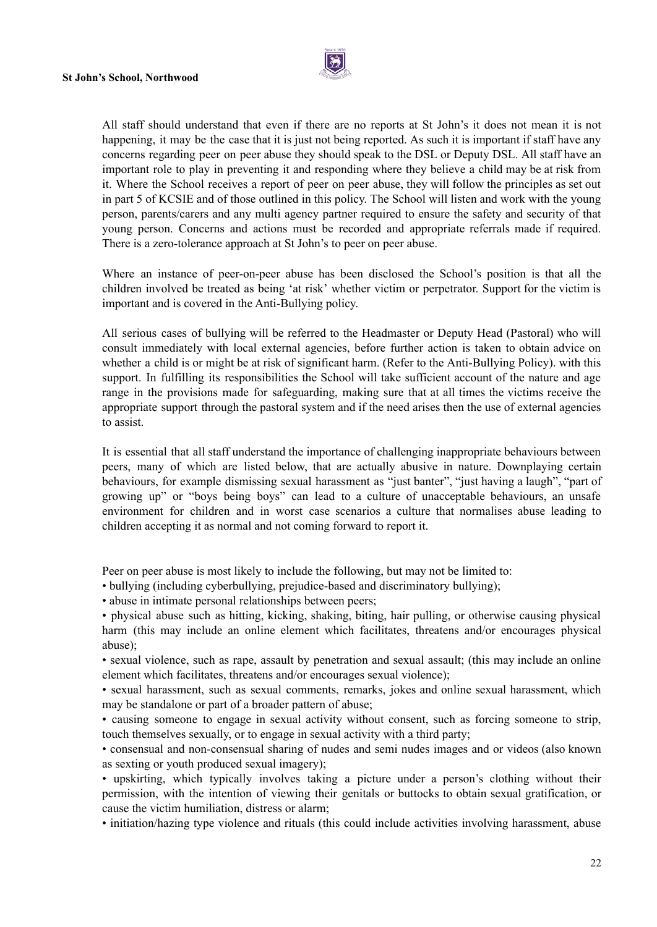

All staff should understand that even if there are no reports at St John's it does not mean it is not happening, it may be the case that it is just not being reported. As such it is important if staff have any concerns regarding peer on peer abuse they should speak to the DSL or Deputy DSL. All staff have an important role to play in preventing it and responding where they believe a child may be at risk from it. Where the School receives a report of peer on peer abuse, they will follow the principles as set out in part 5 of KCSIE and of those outlined in this policy. The School will listen and work with the young person, parents/carers and any multi agency partner required to ensure the safety and security of that young person. Concerns and actions must be recorded and appropriate referrals made if required. There is a zero-tolerance approach at St John's to peer on peer abuse.

Where an instance of peer-on-peer abuse has been disclosed the School's position is that all the children involved be treated as being 'at risk' whether victim or perpetrator. Support for the victim is important and is covered in the Anti-Bullying policy.

All serious cases of bullying will be referred to the Headmaster or Deputy Head (Pastoral) who will consult immediately with local external agencies, before further action is taken to obtain advice on whether a child is or might be at risk of significant harm. (Refer to the Anti-Bullying Policy). with this support. In fulfilling its responsibilities the School will take sufficient account of the nature and age range in the provisions made for safeguarding, making sure that at all times the victims receive the appropriate support through the pastoral system and if the need arises then the use of external agencies to assist.

It is essential that all staff understand the importance of challenging inappropriate behaviours between peers, many of which are listed below, that are actually abusive in nature. Downplaying certain behaviours, for example dismissing sexual harassment as "just banter", "just having a laugh", "part of growing up" or "boys being boys" can lead to a culture of unacceptable behaviours, an unsafe environment for children and in worst case scenarios a culture that normalises abuse leading to children accepting it as normal and not coming forward to report it.

Peer on peer abuse is most likely to include the following, but may not be limited to:

- bullying (including cyberbullying, prejudice-based and discriminatory bullying);
- abuse in intimate personal relationships between peers;

• physical abuse such as hitting, kicking, shaking, biting, hair pulling, or otherwise causing physical harm (this may include an online element which facilitates, threatens and/or encourages physical abuse);

• sexual violence, such as rape, assault by penetration and sexual assault; (this may include an online element which facilitates, threatens and/or encourages sexual violence);

• sexual harassment, such as sexual comments, remarks, jokes and online sexual harassment, which may be standalone or part of a broader pattern of abuse;

• causing someone to engage in sexual activity without consent, such as forcing someone to strip, touch themselves sexually, or to engage in sexual activity with a third party;

• consensual and non-consensual sharing of nudes and semi nudes images and or videos (also known as sexting or youth produced sexual imagery);

• upskirting, which typically involves taking a picture under a person's clothing without their permission, with the intention of viewing their genitals or buttocks to obtain sexual gratification, or cause the victim humiliation, distress or alarm;

• initiation/hazing type violence and rituals (this could include activities involving harassment, abuse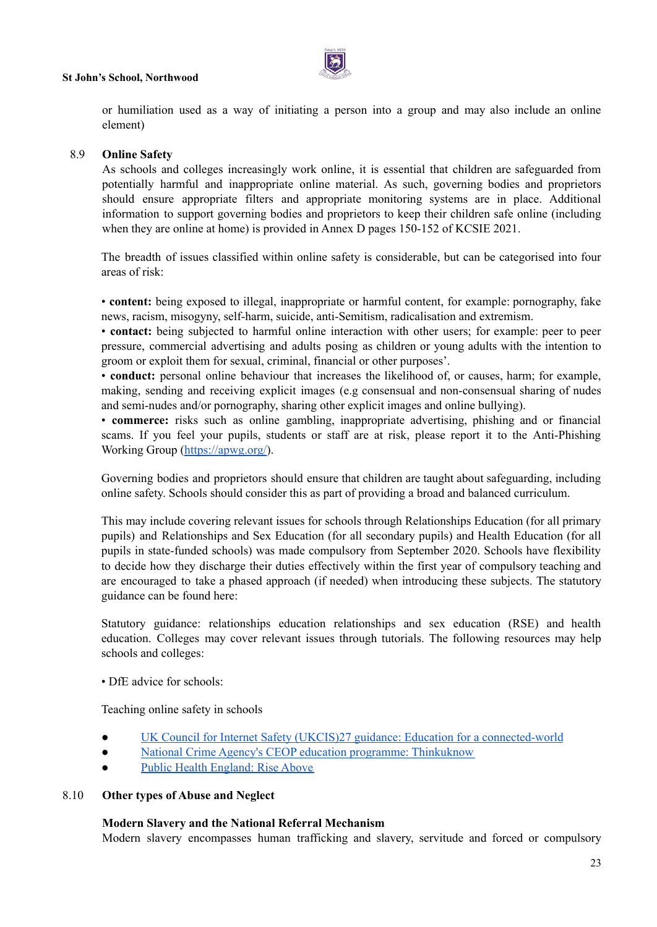

or humiliation used as a way of initiating a person into a group and may also include an online element)

#### 8.9 **Online Safety**

As schools and colleges increasingly work online, it is essential that children are safeguarded from potentially harmful and inappropriate online material. As such, governing bodies and proprietors should ensure appropriate filters and appropriate monitoring systems are in place. Additional information to support governing bodies and proprietors to keep their children safe online (including when they are online at home) is provided in Annex D pages 150-152 of KCSIE 2021.

The breadth of issues classified within online safety is considerable, but can be categorised into four areas of risk:

• **content:** being exposed to illegal, inappropriate or harmful content, for example: pornography, fake news, racism, misogyny, self-harm, suicide, anti-Semitism, radicalisation and extremism.

• **contact:** being subjected to harmful online interaction with other users; for example: peer to peer pressure, commercial advertising and adults posing as children or young adults with the intention to groom or exploit them for sexual, criminal, financial or other purposes'.

• **conduct:** personal online behaviour that increases the likelihood of, or causes, harm; for example, making, sending and receiving explicit images (e.g consensual and non-consensual sharing of nudes and semi-nudes and/or pornography, sharing other explicit images and online bullying).

• **commerce:** risks such as online gambling, inappropriate advertising, phishing and or financial scams. If you feel your pupils, students or staff are at risk, please report it to the Anti-Phishing Working Group [\(https://apwg.org/\)](https://apwg.org/).

Governing bodies and proprietors should ensure that children are taught about safeguarding, including online safety. Schools should consider this as part of providing a broad and balanced curriculum.

This may include covering relevant issues for schools through Relationships Education (for all primary pupils) and Relationships and Sex Education (for all secondary pupils) and Health Education (for all pupils in state-funded schools) was made compulsory from September 2020. Schools have flexibility to decide how they discharge their duties effectively within the first year of compulsory teaching and are encouraged to take a phased approach (if needed) when introducing these subjects. The statutory guidance can be found here:

Statutory guidance: relationships education relationships and sex education (RSE) and health education. Colleges may cover relevant issues through tutorials. The following resources may help schools and colleges:

• DfE advice for schools:

Teaching online safety in schools

- UK Council for Internet Safety (UKCIS)27 guidance: Education for a [connected-world](https://www.gov.uk/government/groups/uk-council-for-child-internet-safety-ukccis)
- National Crime Agency's CEOP education programme: [Thinkuknow](https://www.thinkuknow.co.uk/parents/who-are-we/)
- Public Health [England:](https://riseabove.org.uk/) Rise Above

#### 8.10 **Other types of Abuse and Neglect**

#### **Modern Slavery and the National Referral Mechanism**

Modern slavery encompasses human trafficking and slavery, servitude and forced or compulsory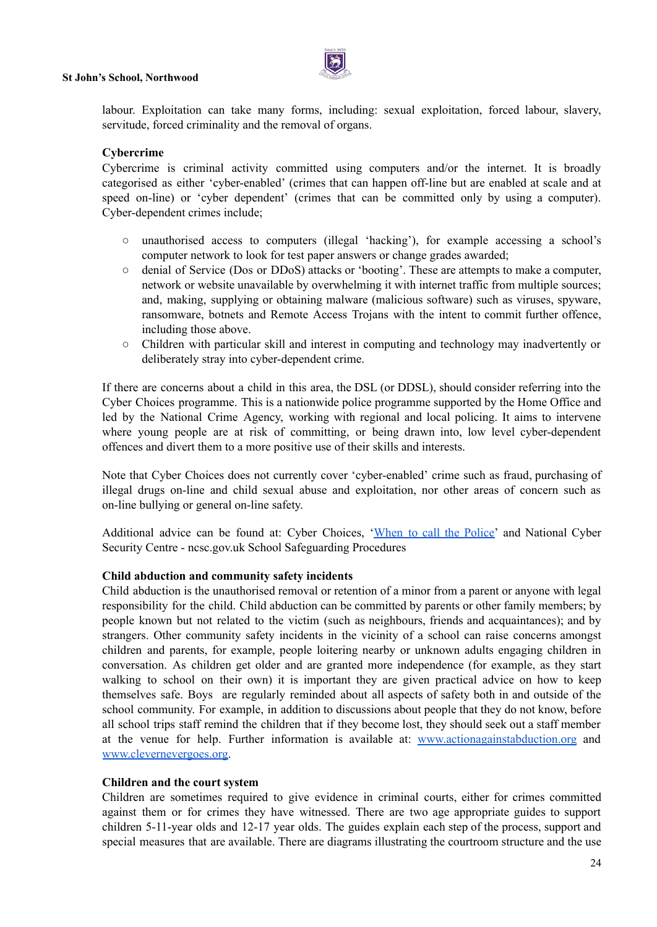

labour. Exploitation can take many forms, including: sexual exploitation, forced labour, slavery, servitude, forced criminality and the removal of organs.

#### **Cybercrime**

Cybercrime is criminal activity committed using computers and/or the internet. It is broadly categorised as either 'cyber-enabled' (crimes that can happen off-line but are enabled at scale and at speed on-line) or 'cyber dependent' (crimes that can be committed only by using a computer). Cyber-dependent crimes include;

- unauthorised access to computers (illegal 'hacking'), for example accessing a school's computer network to look for test paper answers or change grades awarded;
- denial of Service (Dos or DDoS) attacks or 'booting'. These are attempts to make a computer, network or website unavailable by overwhelming it with internet traffic from multiple sources; and, making, supplying or obtaining malware (malicious software) such as viruses, spyware, ransomware, botnets and Remote Access Trojans with the intent to commit further offence, including those above.
- Children with particular skill and interest in computing and technology may inadvertently or deliberately stray into cyber-dependent crime.

If there are concerns about a child in this area, the DSL (or DDSL), should consider referring into the Cyber Choices programme. This is a nationwide police programme supported by the Home Office and led by the National Crime Agency, working with regional and local policing. It aims to intervene where young people are at risk of committing, or being drawn into, low level cyber-dependent offences and divert them to a more positive use of their skills and interests.

Note that Cyber Choices does not currently cover 'cyber-enabled' crime such as fraud, purchasing of illegal drugs on-line and child sexual abuse and exploitation, nor other areas of concern such as on-line bullying or general on-line safety.

Additional advice can be found at: Cyber Choices, 'When to call the [Police'](https://www.npcc.police.uk/documents/Children%20and%20Young%20people/When%20to%20call%20police%20guidance%20for%20schools%20and%20colleges.pdf) and National Cyber Security Centre - ncsc.gov.uk School Safeguarding Procedures

#### **Child abduction and community safety incidents**

Child abduction is the unauthorised removal or retention of a minor from a parent or anyone with legal responsibility for the child. Child abduction can be committed by parents or other family members; by people known but not related to the victim (such as neighbours, friends and acquaintances); and by strangers. Other community safety incidents in the vicinity of a school can raise concerns amongst children and parents, for example, people loitering nearby or unknown adults engaging children in conversation. As children get older and are granted more independence (for example, as they start walking to school on their own) it is important they are given practical advice on how to keep themselves safe. Boys are regularly reminded about all aspects of safety both in and outside of the school community. For example, in addition to discussions about people that they do not know, before all school trips staff remind the children that if they become lost, they should seek out a staff member at the venue for help. Further information is available at: [www.actionagainstabduction.org](http://www.actionagainstabduction.org) and [www.clevernevergoes.org.](http://www.clevernevergoes.org)

#### **Children and the court system**

Children are sometimes required to give evidence in criminal courts, either for crimes committed against them or for crimes they have witnessed. There are two age appropriate guides to support children 5-11-year olds and 12-17 year olds. The guides explain each step of the process, support and special measures that are available. There are diagrams illustrating the courtroom structure and the use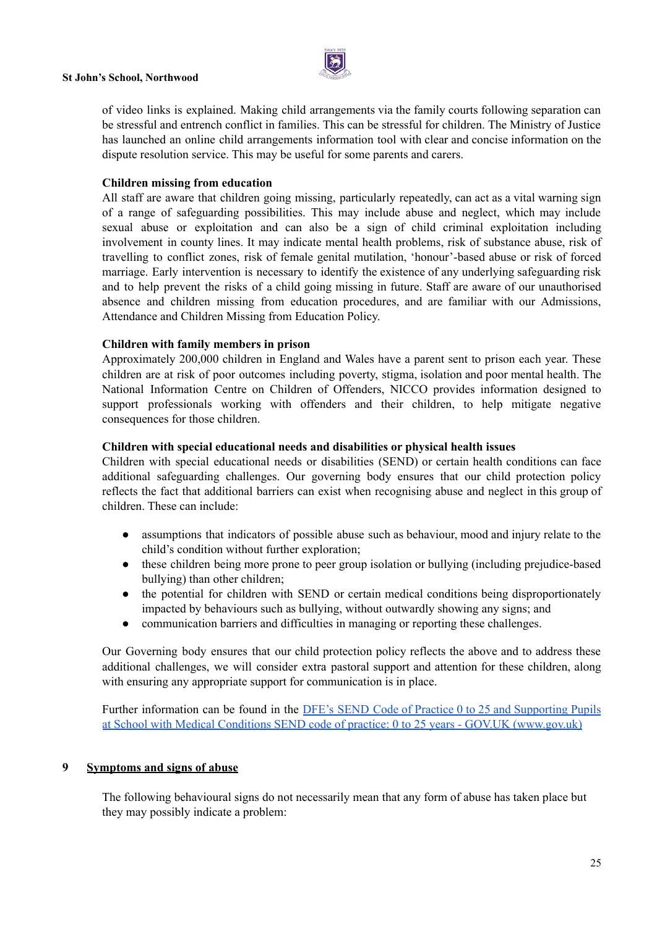

of video links is explained. Making child arrangements via the family courts following separation can be stressful and entrench conflict in families. This can be stressful for children. The Ministry of Justice has launched an online child arrangements information tool with clear and concise information on the dispute resolution service. This may be useful for some parents and carers.

#### **Children missing from education**

All staff are aware that children going missing, particularly repeatedly, can act as a vital warning sign of a range of safeguarding possibilities. This may include abuse and neglect, which may include sexual abuse or exploitation and can also be a sign of child criminal exploitation including involvement in county lines. It may indicate mental health problems, risk of substance abuse, risk of travelling to conflict zones, risk of female genital mutilation, 'honour'-based abuse or risk of forced marriage. Early intervention is necessary to identify the existence of any underlying safeguarding risk and to help prevent the risks of a child going missing in future. Staff are aware of our unauthorised absence and children missing from education procedures, and are familiar with our Admissions, Attendance and Children Missing from Education Policy.

#### **Children with family members in prison**

Approximately 200,000 children in England and Wales have a parent sent to prison each year. These children are at risk of poor outcomes including poverty, stigma, isolation and poor mental health. The National Information Centre on Children of Offenders, NICCO provides information designed to support professionals working with offenders and their children, to help mitigate negative consequences for those children.

#### **Children with special educational needs and disabilities or physical health issues**

Children with special educational needs or disabilities (SEND) or certain health conditions can face additional safeguarding challenges. Our governing body ensures that our child protection policy reflects the fact that additional barriers can exist when recognising abuse and neglect in this group of children. These can include:

- assumptions that indicators of possible abuse such as behaviour, mood and injury relate to the child's condition without further exploration;
- these children being more prone to peer group isolation or bullying (including prejudice-based bullying) than other children;
- the potential for children with SEND or certain medical conditions being disproportionately impacted by behaviours such as bullying, without outwardly showing any signs; and
- communication barriers and difficulties in managing or reporting these challenges.

Our Governing body ensures that our child protection policy reflects the above and to address these additional challenges, we will consider extra pastoral support and attention for these children, along with ensuring any appropriate support for communication is in place.

Further information can be found in the DFE's SEND Code of Practice 0 to 25 and Supporting Pupils at School with Medical Conditions SEND code of practice: 0 to 25 years - GOV.UK (www.gov.uk)

#### **9 Symptoms and signs of abuse**

The following behavioural signs do not necessarily mean that any form of abuse has taken place but they may possibly indicate a problem: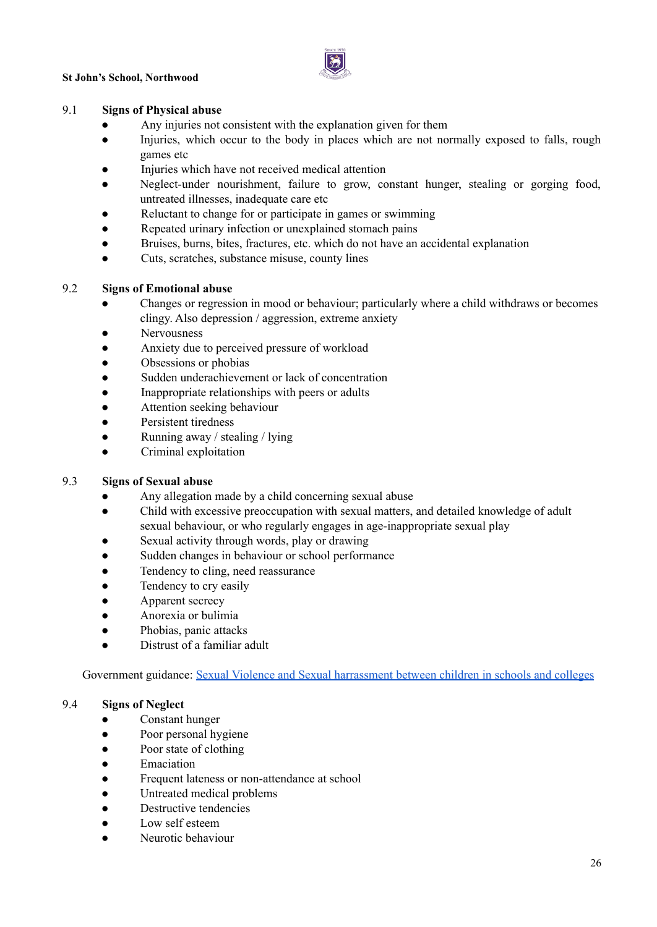

#### 9.1 **Signs of Physical abuse**

- Any injuries not consistent with the explanation given for them
- Injuries, which occur to the body in places which are not normally exposed to falls, rough games etc
- Injuries which have not received medical attention
- Neglect-under nourishment, failure to grow, constant hunger, stealing or gorging food, untreated illnesses, inadequate care etc
- Reluctant to change for or participate in games or swimming
- Repeated urinary infection or unexplained stomach pains
- Bruises, burns, bites, fractures, etc. which do not have an accidental explanation
- Cuts, scratches, substance misuse, county lines

#### 9.2 **Signs of Emotional abuse**

- Changes or regression in mood or behaviour; particularly where a child withdraws or becomes clingy. Also depression / aggression, extreme anxiety
- Nervousness
- Anxiety due to perceived pressure of workload
- Obsessions or phobias
- Sudden underachievement or lack of concentration
- Inappropriate relationships with peers or adults
- Attention seeking behaviour
- Persistent tiredness
- Running away / stealing / lying
- Criminal exploitation

#### 9.3 **Signs of Sexual abuse**

- Any allegation made by a child concerning sexual abuse
- Child with excessive preoccupation with sexual matters, and detailed knowledge of adult sexual behaviour, or who regularly engages in age-inappropriate sexual play
- Sexual activity through words, play or drawing
- Sudden changes in behaviour or school performance
- Tendency to cling, need reassurance
- Tendency to cry easily
- Apparent secrecy
- Anorexia or bulimia
- Phobias, panic attacks
- Distrust of a familiar adult

Government guidance: Sexual Violence and Sexual [harrassment](https://assets.publishing.service.gov.uk/government/uploads/system/uploads/attachment_data/file/999239/SVSH_2021.pdf) between children in schools and colleges

#### 9.4 **Signs of Neglect**

- Constant hunger
- Poor personal hygiene
- Poor state of clothing
- **Emaciation**
- Frequent lateness or non-attendance at school
- Untreated medical problems
- Destructive tendencies
- Low self esteem
- Neurotic behaviour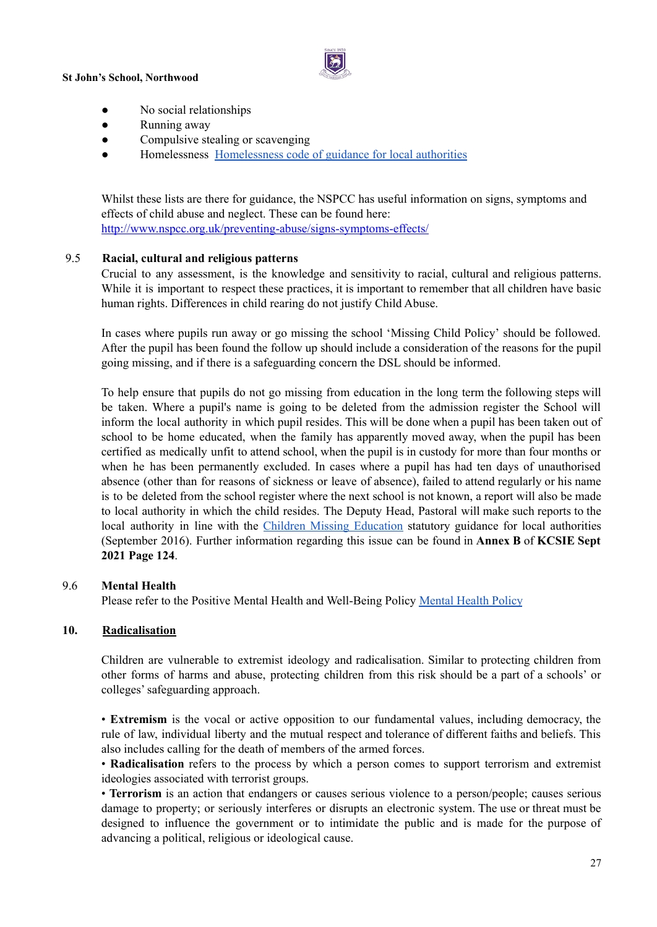

- No social relationships
- Running away
- Compulsive stealing or scavenging
- [Homelessness](https://www.gov.uk/guidance/homelessness-code-of-guidance-for-local-authorities) Homelessness code of guidance for local authorities

Whilst these lists are there for guidance, the NSPCC has useful information on signs, symptoms and effects of child abuse and neglect. These can be found here: <http://www.nspcc.org.uk/preventing-abuse/signs-symptoms-effects/>

#### 9.5 **Racial, cultural and religious patterns**

Crucial to any assessment, is the knowledge and sensitivity to racial, cultural and religious patterns. While it is important to respect these practices, it is important to remember that all children have basic human rights. Differences in child rearing do not justify Child Abuse.

In cases where pupils run away or go missing the school 'Missing Child Policy' should be followed. After the pupil has been found the follow up should include a consideration of the reasons for the pupil going missing, and if there is a safeguarding concern the DSL should be informed.

To help ensure that pupils do not go missing from education in the long term the following steps will be taken. Where a pupil's name is going to be deleted from the admission register the School will inform the local authority in which pupil resides. This will be done when a pupil has been taken out of school to be home educated, when the family has apparently moved away, when the pupil has been certified as medically unfit to attend school, when the pupil is in custody for more than four months or when he has been permanently excluded. In cases where a pupil has had ten days of unauthorised absence (other than for reasons of sickness or leave of absence), failed to attend regularly or his name is to be deleted from the school register where the next school is not known, a report will also be made to local authority in which the child resides. The Deputy Head, Pastoral will make such reports to the local authority in line with the Children Missing [Education](https://www.gov.uk/government/uploads/system/uploads/attachment_data/file/550416/Children_Missing_Education_-_statutory_guidance.pdf) statutory guidance for local authorities (September 2016). Further information regarding this issue can be found in **Annex B** of **KCSIE Sept 2021 Page 124**.

#### 9.6 **Mental Health**

Please refer to the Positive Mental Health and Well-Being Policy [Mental](https://docs.google.com/document/d/1HRaU7G73qU-YkEYguOp2IdLxpdaOCeIORtZ2YwWAQHs/edit) Health Policy

#### **10. Radicalisation**

Children are vulnerable to extremist ideology and radicalisation. Similar to protecting children from other forms of harms and abuse, protecting children from this risk should be a part of a schools' or colleges'safeguarding approach.

• **Extremism** is the vocal or active opposition to our fundamental values, including democracy, the rule of law, individual liberty and the mutual respect and tolerance of different faiths and beliefs. This also includes calling for the death of members of the armed forces.

• **Radicalisation** refers to the process by which a person comes to support terrorism and extremist ideologies associated with terrorist groups.

• **Terrorism** is an action that endangers or causes serious violence to a person/people; causes serious damage to property; or seriously interferes or disrupts an electronic system. The use or threat must be designed to influence the government or to intimidate the public and is made for the purpose of advancing a political, religious or ideological cause.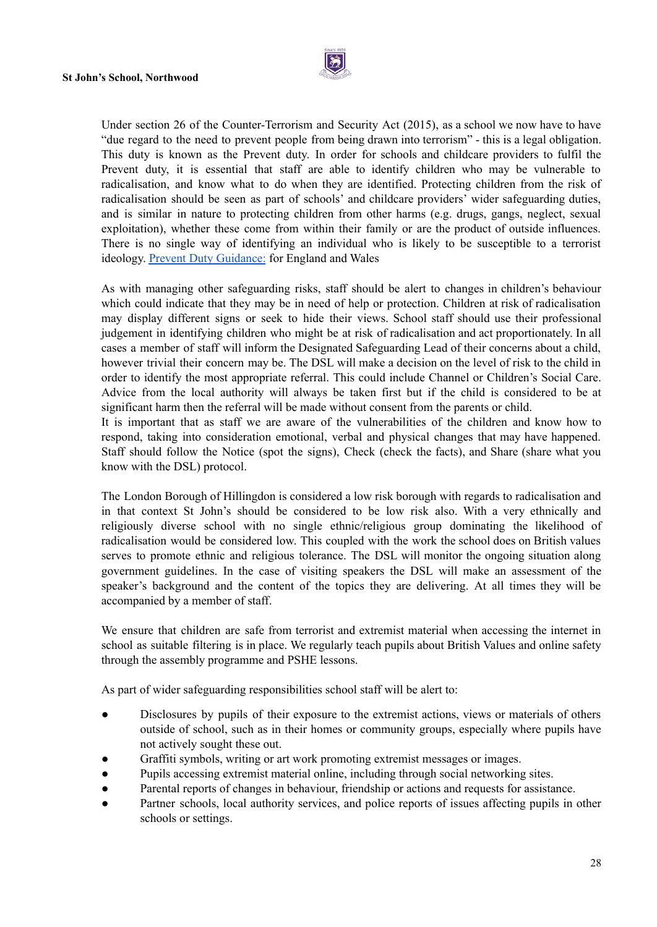

Under section 26 of the Counter-Terrorism and Security Act (2015), as a school we now have to have "due regard to the need to prevent people from being drawn into terrorism" - this is a legal obligation. This duty is known as the Prevent duty. In order for schools and childcare providers to fulfil the Prevent duty, it is essential that staff are able to identify children who may be vulnerable to radicalisation, and know what to do when they are identified. Protecting children from the risk of radicalisation should be seen as part of schools' and childcare providers' wider safeguarding duties, and is similar in nature to protecting children from other harms (e.g. drugs, gangs, neglect, sexual exploitation), whether these come from within their family or are the product of outside influences. There is no single way of identifying an individual who is likely to be susceptible to a terrorist ideology. Prevent Duty [Guidance:](https://www.gov.uk/government/publications/prevent-duty-guidance/revised-prevent-duty-guidance-for-england-and-wales) for England and Wales

As with managing other safeguarding risks, staff should be alert to changes in children's behaviour which could indicate that they may be in need of help or protection. Children at risk of radicalisation may display different signs or seek to hide their views. School staff should use their professional judgement in identifying children who might be at risk of radicalisation and act proportionately. In all cases a member of staff will inform the Designated Safeguarding Lead of their concerns about a child, however trivial their concern may be. The DSL will make a decision on the level of risk to the child in order to identify the most appropriate referral. This could include Channel or Children's Social Care. Advice from the local authority will always be taken first but if the child is considered to be at significant harm then the referral will be made without consent from the parents or child.

It is important that as staff we are aware of the vulnerabilities of the children and know how to respond, taking into consideration emotional, verbal and physical changes that may have happened. Staff should follow the Notice (spot the signs), Check (check the facts), and Share (share what you know with the DSL) protocol.

The London Borough of Hillingdon is considered a low risk borough with regards to radicalisation and in that context St John's should be considered to be low risk also. With a very ethnically and religiously diverse school with no single ethnic/religious group dominating the likelihood of radicalisation would be considered low. This coupled with the work the school does on British values serves to promote ethnic and religious tolerance. The DSL will monitor the ongoing situation along government guidelines. In the case of visiting speakers the DSL will make an assessment of the speaker's background and the content of the topics they are delivering. At all times they will be accompanied by a member of staff.

We ensure that children are safe from terrorist and extremist material when accessing the internet in school as suitable filtering is in place. We regularly teach pupils about British Values and online safety through the assembly programme and PSHE lessons.

As part of wider safeguarding responsibilities school staff will be alert to:

- Disclosures by pupils of their exposure to the extremist actions, views or materials of others outside of school, such as in their homes or community groups, especially where pupils have not actively sought these out.
- Graffiti symbols, writing or art work promoting extremist messages or images.
- Pupils accessing extremist material online, including through social networking sites.
- Parental reports of changes in behaviour, friendship or actions and requests for assistance.
- Partner schools, local authority services, and police reports of issues affecting pupils in other schools or settings.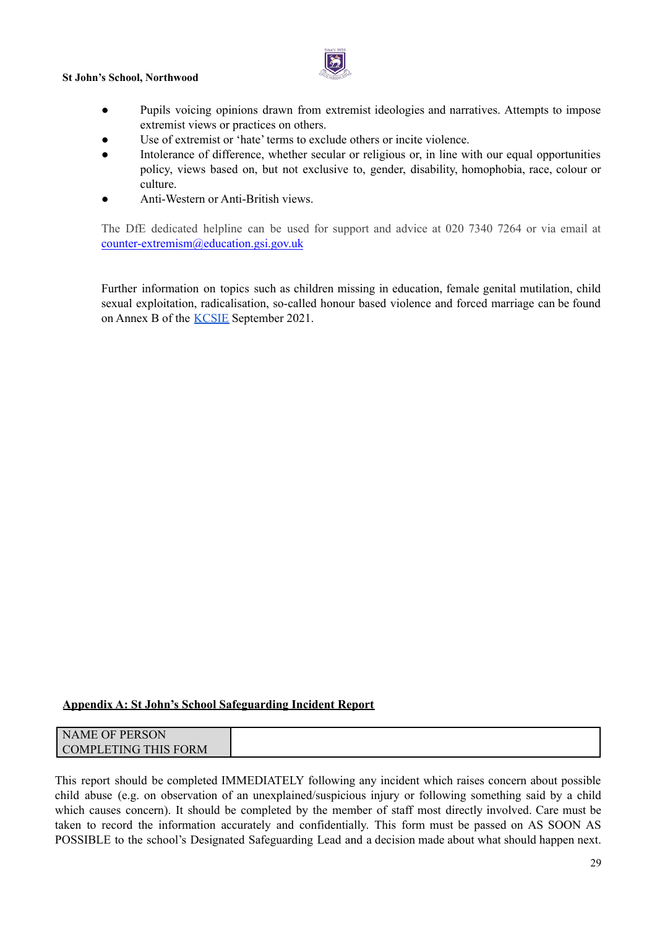

- Pupils voicing opinions drawn from extremist ideologies and narratives. Attempts to impose extremist views or practices on others.
- Use of extremist or 'hate' terms to exclude others or incite violence.
- Intolerance of difference, whether secular or religious or, in line with our equal opportunities policy, views based on, but not exclusive to, gender, disability, homophobia, race, colour or culture.
- Anti-Western or Anti-British views.

The DfE dedicated helpline can be used for support and advice at 020 7340 7264 or via email at [counter-extremism@education.gsi.gov.uk](mailto:counter-extremism@education.gsi.gov.uk)

Further information on topics such as children missing in education, female genital mutilation, child sexual exploitation, radicalisation, so-called honour based violence and forced marriage can be found on Annex B of the [KCSIE](https://assets.publishing.service.gov.uk/government/uploads/system/uploads/attachment_data/file/1007260/Keeping_children_safe_in_education_2021.pdf) September 2021.

#### **Appendix A: St John's School Safeguarding Incident Report**

| OF PERSON<br>AME                   |
|------------------------------------|
| ORM<br>COMPL<br>- LETING<br>111101 |

This report should be completed IMMEDIATELY following any incident which raises concern about possible child abuse (e.g. on observation of an unexplained/suspicious injury or following something said by a child which causes concern). It should be completed by the member of staff most directly involved. Care must be taken to record the information accurately and confidentially. This form must be passed on AS SOON AS POSSIBLE to the school's Designated Safeguarding Lead and a decision made about what should happen next.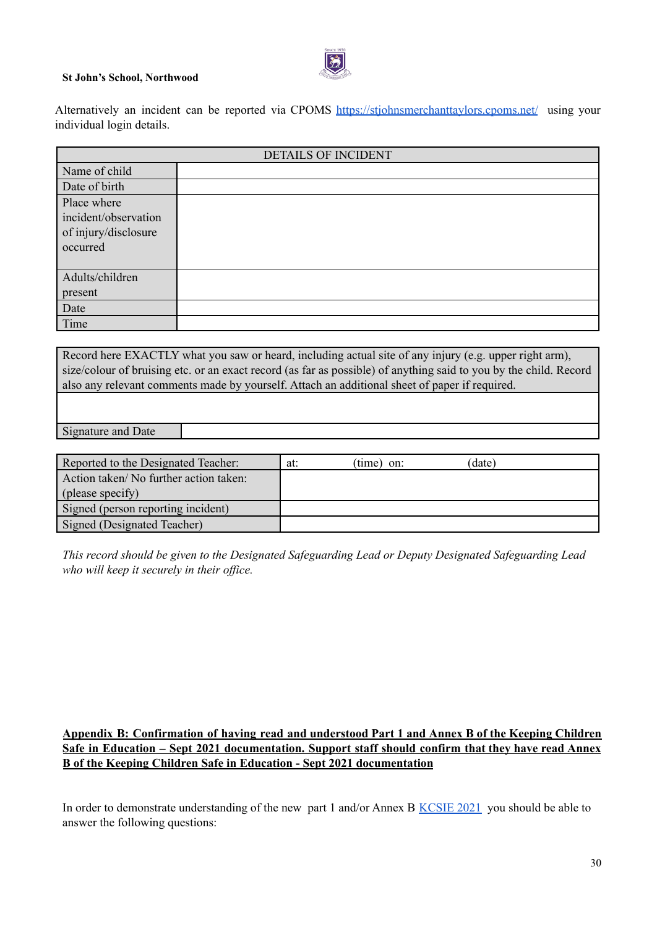Alternatively an incident can be reported via CPOMS <https://stjohnsmerchanttaylors.cpoms.net/> using your individual login details.

| <b>DETAILS OF INCIDENT</b>                                              |  |  |
|-------------------------------------------------------------------------|--|--|
| Name of child                                                           |  |  |
| Date of birth                                                           |  |  |
| Place where<br>incident/observation<br>of injury/disclosure<br>occurred |  |  |
| Adults/children<br>present                                              |  |  |
| Date                                                                    |  |  |
| Time                                                                    |  |  |

Record here EXACTLY what you saw or heard, including actual site of any injury (e.g. upper right arm), size/colour of bruising etc. or an exact record (as far as possible) of anything said to you by the child. Record also any relevant comments made by yourself. Attach an additional sheet of paper if required.

Signature and Date

| Reported to the Designated Teacher:   | at: | $(time)$ on: | (date) |
|---------------------------------------|-----|--------------|--------|
| Action taken/No further action taken: |     |              |        |
| (please specify)                      |     |              |        |
| Signed (person reporting incident)    |     |              |        |
| Signed (Designated Teacher)           |     |              |        |

*This record should be given to the Designated Safeguarding Lead or Deputy Designated Safeguarding Lead who will keep it securely in their of ice.*

#### **Appendix B: Confirmation of having read and understood Part 1 and Annex B of the Keeping Children Safe in Education – Sept 2021 documentation. Support staff should confirm that they have read Annex B of the Keeping Children Safe in Education - Sept 2021 documentation**

In order to demonstrate understanding of the new part 1 and/or Annex B [KCSIE](https://assets.publishing.service.gov.uk/government/uploads/system/uploads/attachment_data/file/999348/Keeping_children_safe_in_education_2021.pdf) 2021 you should be able to answer the following questions: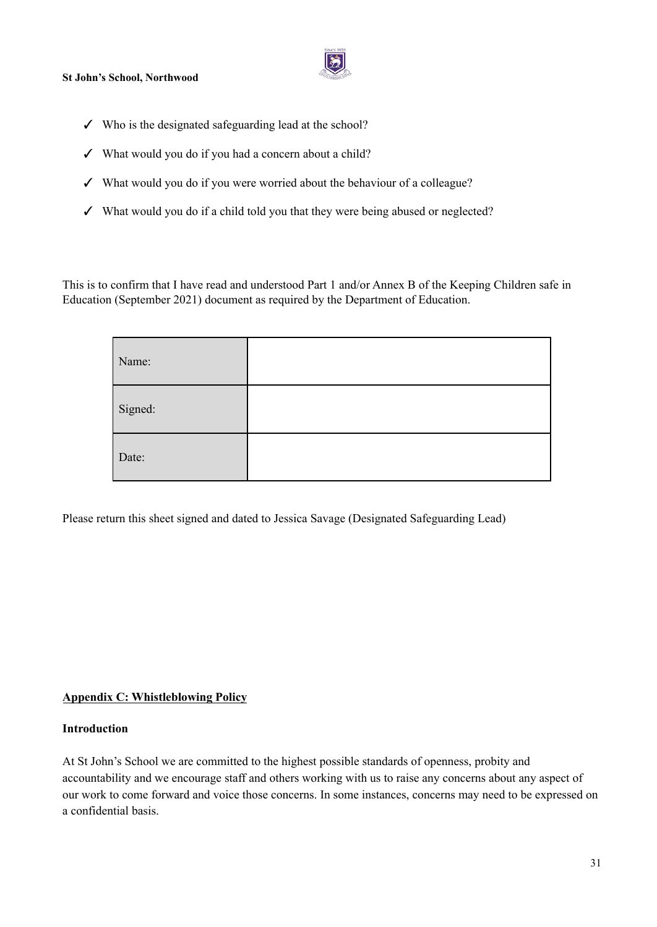

- $\checkmark$  Who is the designated safeguarding lead at the school?
- ✓ What would you do if you had a concern about a child?
- ✓ What would you do if you were worried about the behaviour of a colleague?
- ✓ What would you do if a child told you that they were being abused or neglected?

This is to confirm that I have read and understood Part 1 and/or Annex B of the Keeping Children safe in Education (September 2021) document as required by the Department of Education.

| Name:   |  |
|---------|--|
| Signed: |  |
| Date:   |  |

Please return this sheet signed and dated to Jessica Savage (Designated Safeguarding Lead)

#### **Appendix C: Whistleblowing Policy**

#### **Introduction**

At St John's School we are committed to the highest possible standards of openness, probity and accountability and we encourage staff and others working with us to raise any concerns about any aspect of our work to come forward and voice those concerns. In some instances, concerns may need to be expressed on a confidential basis.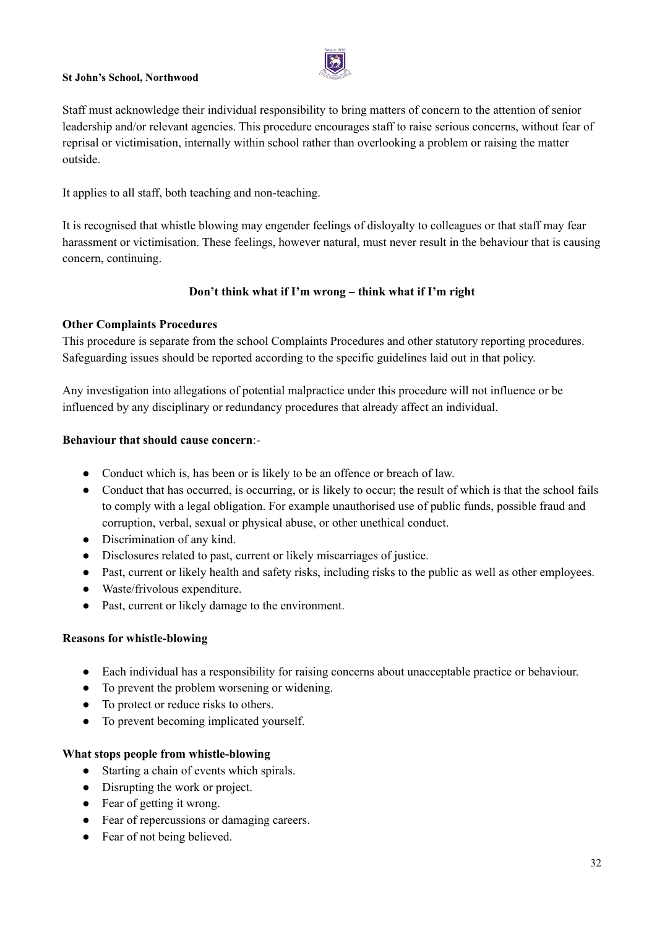

Staff must acknowledge their individual responsibility to bring matters of concern to the attention of senior leadership and/or relevant agencies. This procedure encourages staff to raise serious concerns, without fear of reprisal or victimisation, internally within school rather than overlooking a problem or raising the matter outside.

It applies to all staff, both teaching and non-teaching.

It is recognised that whistle blowing may engender feelings of disloyalty to colleagues or that staff may fear harassment or victimisation. These feelings, however natural, must never result in the behaviour that is causing concern, continuing.

#### **Don't think what if I'm wrong – think what if I'm right**

#### **Other Complaints Procedures**

This procedure is separate from the school Complaints Procedures and other statutory reporting procedures. Safeguarding issues should be reported according to the specific guidelines laid out in that policy.

Any investigation into allegations of potential malpractice under this procedure will not influence or be influenced by any disciplinary or redundancy procedures that already affect an individual.

#### **Behaviour that should cause concern**:-

- Conduct which is, has been or is likely to be an offence or breach of law.
- Conduct that has occurred, is occurring, or is likely to occur; the result of which is that the school fails to comply with a legal obligation. For example unauthorised use of public funds, possible fraud and corruption, verbal, sexual or physical abuse, or other unethical conduct.
- Discrimination of any kind.
- Disclosures related to past, current or likely miscarriages of justice.
- Past, current or likely health and safety risks, including risks to the public as well as other employees.
- Waste/frivolous expenditure.
- Past, current or likely damage to the environment.

#### **Reasons for whistle-blowing**

- Each individual has a responsibility for raising concerns about unacceptable practice or behaviour.
- To prevent the problem worsening or widening.
- To protect or reduce risks to others.
- To prevent becoming implicated yourself.

#### **What stops people from whistle-blowing**

- Starting a chain of events which spirals.
- Disrupting the work or project.
- Fear of getting it wrong.
- Fear of repercussions or damaging careers.
- Fear of not being believed.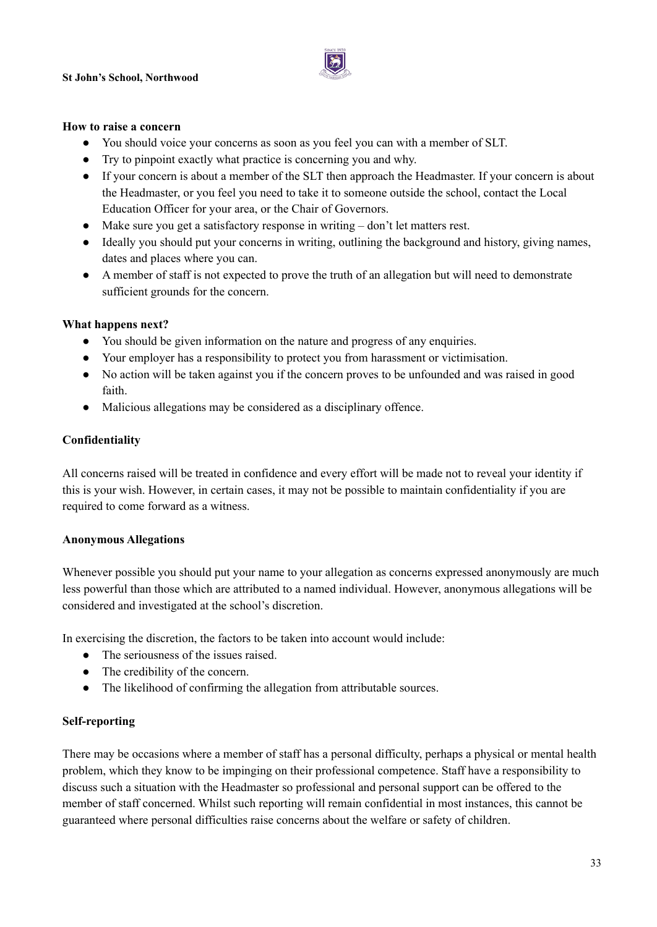

#### **How to raise a concern**

- You should voice your concerns as soon as you feel you can with a member of SLT.
- Try to pinpoint exactly what practice is concerning you and why.
- If your concern is about a member of the SLT then approach the Headmaster. If your concern is about the Headmaster, or you feel you need to take it to someone outside the school, contact the Local Education Officer for your area, or the Chair of Governors.
- Make sure you get a satisfactory response in writing don't let matters rest.
- Ideally you should put your concerns in writing, outlining the background and history, giving names, dates and places where you can.
- A member of staff is not expected to prove the truth of an allegation but will need to demonstrate sufficient grounds for the concern.

#### **What happens next?**

- You should be given information on the nature and progress of any enquiries.
- Your employer has a responsibility to protect you from harassment or victimisation.
- No action will be taken against you if the concern proves to be unfounded and was raised in good faith.
- Malicious allegations may be considered as a disciplinary offence.

#### **Confidentiality**

All concerns raised will be treated in confidence and every effort will be made not to reveal your identity if this is your wish. However, in certain cases, it may not be possible to maintain confidentiality if you are required to come forward as a witness.

#### **Anonymous Allegations**

Whenever possible you should put your name to your allegation as concerns expressed anonymously are much less powerful than those which are attributed to a named individual. However, anonymous allegations will be considered and investigated at the school's discretion.

In exercising the discretion, the factors to be taken into account would include:

- The seriousness of the issues raised.
- The credibility of the concern.
- The likelihood of confirming the allegation from attributable sources.

#### **Self-reporting**

There may be occasions where a member of staff has a personal difficulty, perhaps a physical or mental health problem, which they know to be impinging on their professional competence. Staff have a responsibility to discuss such a situation with the Headmaster so professional and personal support can be offered to the member of staff concerned. Whilst such reporting will remain confidential in most instances, this cannot be guaranteed where personal difficulties raise concerns about the welfare or safety of children.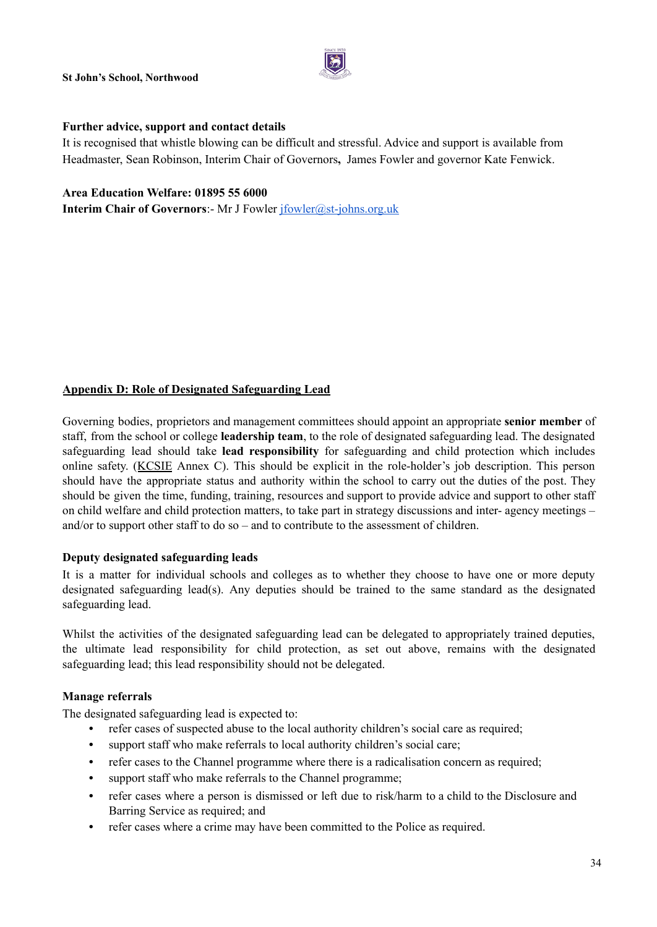

#### **Further advice, support and contact details**

It is recognised that whistle blowing can be difficult and stressful. Advice and support is available from Headmaster, Sean Robinson, Interim Chair of Governors**,** James Fowler and governor Kate Fenwick.

#### **Area Education Welfare: 01895 55 6000**

**Interim Chair of Governors**:- Mr J Fowler [jfowler@st-johns.org.uk](mailto:jfowler@st-johns.org.uk)

#### **Appendix D: Role of Designated Safeguarding Lead**

Governing bodies, proprietors and management committees should appoint an appropriate **senior member** of staff, from the school or college **leadership team**, to the role of designated safeguarding lead. The designated safeguarding lead should take **lead responsibility** for safeguarding and child protection which includes online safety. ([KCSIE](http://kcsie) Annex C). This should be explicit in the role-holder's job description. This person should have the appropriate status and authority within the school to carry out the duties of the post. They should be given the time, funding, training, resources and support to provide advice and support to other staff on child welfare and child protection matters, to take part in strategy discussions and inter- agency meetings – and/or to support other staff to do so – and to contribute to the assessment of children.

#### **Deputy designated safeguarding leads**

It is a matter for individual schools and colleges as to whether they choose to have one or more deputy designated safeguarding lead(s). Any deputies should be trained to the same standard as the designated safeguarding lead.

Whilst the activities of the designated safeguarding lead can be delegated to appropriately trained deputies, the ultimate lead responsibility for child protection, as set out above, remains with the designated safeguarding lead; this lead responsibility should not be delegated.

#### **Manage referrals**

The designated safeguarding lead is expected to:

- **•** refer cases of suspected abuse to the local authority children's social care as required;
- **•** support staff who make referrals to local authority children's social care;
- refer cases to the Channel programme where there is a radicalisation concern as required;
- **•** support staff who make referrals to the Channel programme;
- **•** refer cases where a person is dismissed or left due to risk/harm to a child to the Disclosure and Barring Service as required; and
- **•** refer cases where a crime may have been committed to the Police as required.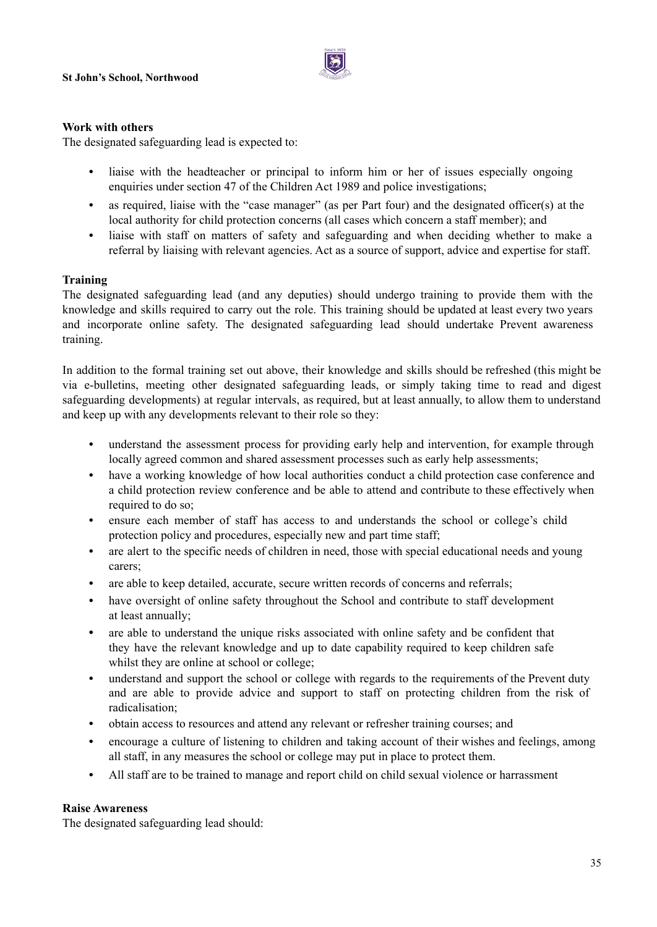

#### **Work with others**

The designated safeguarding lead is expected to:

- **•** liaise with the headteacher or principal to inform him or her of issues especially ongoing enquiries under section 47 of the Children Act 1989 and police investigations;
- **•** as required, liaise with the "case manager" (as per Part four) and the designated officer(s) at the local authority for child protection concerns (all cases which concern a staff member); and
- **•** liaise with staff on matters of safety and safeguarding and when deciding whether to make a referral by liaising with relevant agencies. Act as a source of support, advice and expertise for staff.

#### **Training**

The designated safeguarding lead (and any deputies) should undergo training to provide them with the knowledge and skills required to carry out the role. This training should be updated at least every two years and incorporate online safety. The designated safeguarding lead should undertake Prevent awareness training.

In addition to the formal training set out above, their knowledge and skills should be refreshed (this might be via e-bulletins, meeting other designated safeguarding leads, or simply taking time to read and digest safeguarding developments) at regular intervals, as required, but at least annually, to allow them to understand and keep up with any developments relevant to their role so they:

- **•** understand the assessment process for providing early help and intervention, for example through locally agreed common and shared assessment processes such as early help assessments;
- **•** have a working knowledge of how local authorities conduct a child protection case conference and a child protection review conference and be able to attend and contribute to these effectively when required to do so:
- **•** ensure each member of staff has access to and understands the school or college's child protection policy and procedures, especially new and part time staff;
- **•** are alert to the specific needs of children in need, those with special educational needs and young carers;
- **•** are able to keep detailed, accurate, secure written records of concerns and referrals;
- **•** have oversight of online safety throughout the School and contribute to staff development at least annually;
- **•** are able to understand the unique risks associated with online safety and be confident that they have the relevant knowledge and up to date capability required to keep children safe whilst they are online at school or college:
- understand and support the school or college with regards to the requirements of the Prevent duty and are able to provide advice and support to staff on protecting children from the risk of radicalisation;
- **•** obtain access to resources and attend any relevant or refresher training courses; and
- **•** encourage a culture of listening to children and taking account of their wishes and feelings, among all staff, in any measures the school or college may put in place to protect them.
- All staff are to be trained to manage and report child on child sexual violence or harrassment

#### **Raise Awareness**

The designated safeguarding lead should: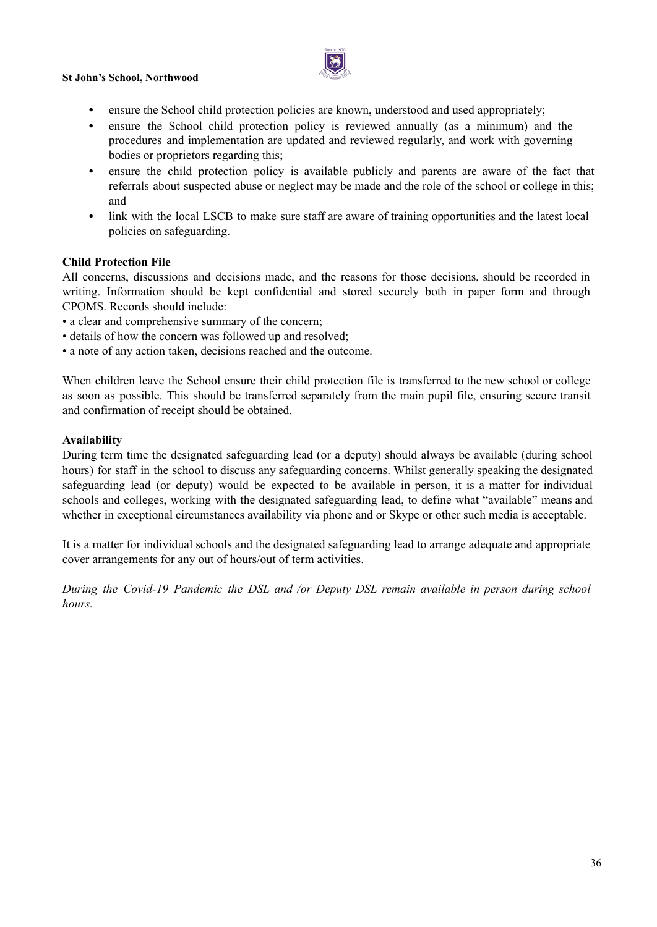

- **•** ensure the School child protection policies are known, understood and used appropriately;
- **•** ensure the School child protection policy is reviewed annually (as a minimum) and the procedures and implementation are updated and reviewed regularly, and work with governing bodies or proprietors regarding this;
- ensure the child protection policy is available publicly and parents are aware of the fact that referrals about suspected abuse or neglect may be made and the role of the school or college in this; and
- **•** link with the local LSCB to make sure staff are aware of training opportunities and the latest local policies on safeguarding.

#### **Child Protection File**

All concerns, discussions and decisions made, and the reasons for those decisions, should be recorded in writing. Information should be kept confidential and stored securely both in paper form and through CPOMS. Records should include:

- a clear and comprehensive summary of the concern;
- details of how the concern was followed up and resolved;
- a note of any action taken, decisions reached and the outcome.

When children leave the School ensure their child protection file is transferred to the new school or college as soon as possible. This should be transferred separately from the main pupil file, ensuring secure transit and confirmation of receipt should be obtained.

#### **Availability**

During term time the designated safeguarding lead (or a deputy) should always be available (during school hours) for staff in the school to discuss any safeguarding concerns. Whilst generally speaking the designated safeguarding lead (or deputy) would be expected to be available in person, it is a matter for individual schools and colleges, working with the designated safeguarding lead, to define what "available" means and whether in exceptional circumstances availability via phone and or Skype or other such media is acceptable.

It is a matter for individual schools and the designated safeguarding lead to arrange adequate and appropriate cover arrangements for any out of hours/out of term activities.

*During the Covid-19 Pandemic the DSL and /or Deputy DSL remain available in person during school hours.*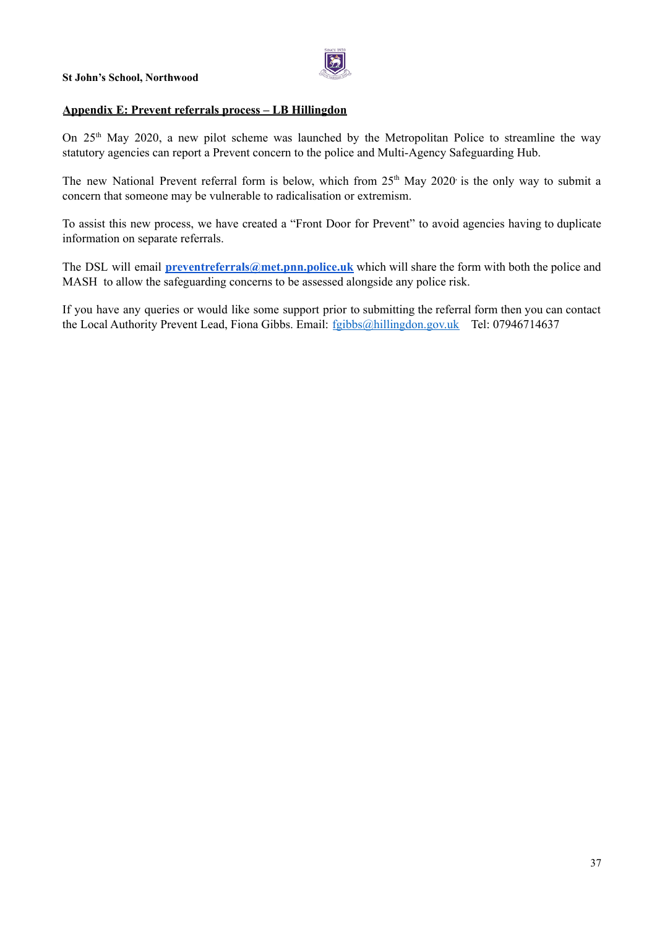

#### **Appendix E: Prevent referrals process – LB Hillingdon**

On 25<sup>th</sup> May 2020, a new pilot scheme was launched by the Metropolitan Police to streamline the way statutory agencies can report a Prevent concern to the police and Multi-Agency Safeguarding Hub.

The new National Prevent referral form is below, which from  $25<sup>th</sup>$  May  $2020<sup>th</sup>$  is the only way to submit a concern that someone may be vulnerable to radicalisation or extremism.

To assist this new process, we have created a "Front Door for Prevent" to avoid agencies having to duplicate information on separate referrals.

The DSL will email **[preventreferrals@met.pnn.police.uk](mailto:preventreferrals@met.pnn.police.uk)** which will share the form with both the police and MASH to allow the safeguarding concerns to be assessed alongside any police risk.

If you have any queries or would like some support prior to submitting the referral form then you can contact the Local Authority Prevent Lead, Fiona Gibbs. Email: fgibbs@hillingdon.gov.uk Tel: 07946714637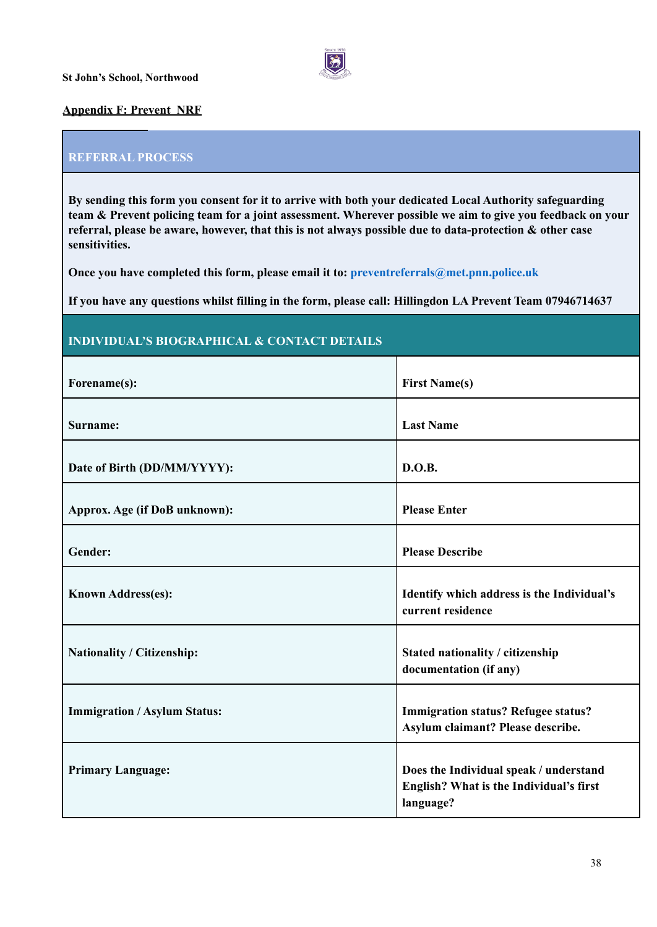

#### **Appendix F: Prevent NRF**

#### **REFERRAL PROCESS**

**By sending this form you consent for it to arrive with both your dedicated Local Authority safeguarding** team & Prevent policing team for a joint assessment. Wherever possible we aim to give you feedback on your **referral, please be aware, however, that this is not always possible due to data-protection & other case sensitivities.**

**Once you have completed this form, please email it to: preventreferrals@met.pnn.police.uk**

**If you have any questions whilst filling in the form, please call: Hillingdon LA Prevent Team 07946714637**

#### **INDIVIDUAL'S BIOGRAPHICAL & CONTACT DETAILS**

| Forename(s):                        | <b>First Name(s)</b>                                                                           |
|-------------------------------------|------------------------------------------------------------------------------------------------|
| Surname:                            | <b>Last Name</b>                                                                               |
| Date of Birth (DD/MM/YYYY):         | D.O.B.                                                                                         |
| Approx. Age (if DoB unknown):       | <b>Please Enter</b>                                                                            |
| Gender:                             | <b>Please Describe</b>                                                                         |
| <b>Known Address(es):</b>           | Identify which address is the Individual's<br>current residence                                |
| Nationality / Citizenship:          | Stated nationality / citizenship<br>documentation (if any)                                     |
| <b>Immigration / Asylum Status:</b> | <b>Immigration status? Refugee status?</b><br>Asylum claimant? Please describe.                |
| <b>Primary Language:</b>            | Does the Individual speak / understand<br>English? What is the Individual's first<br>language? |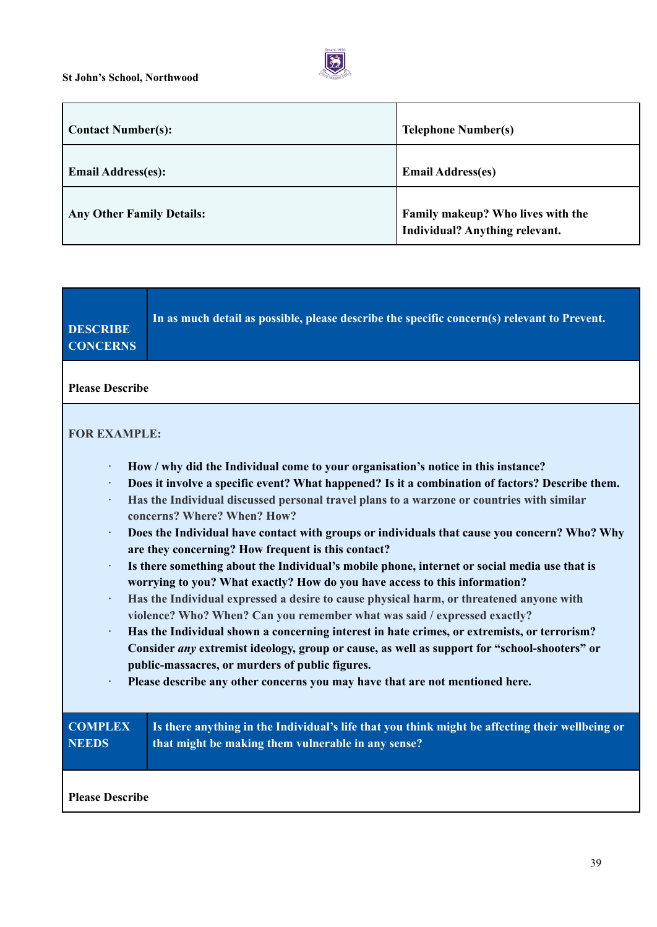a T



| <b>Contact Number(s):</b>        | <b>Telephone Number(s)</b>                                          |
|----------------------------------|---------------------------------------------------------------------|
| <b>Email Address(es):</b>        | <b>Email Address(es)</b>                                            |
| <b>Any Other Family Details:</b> | Family makeup? Who lives with the<br>Individual? Anything relevant. |

| <b>DESCRIBE</b><br><b>CONCERNS</b>                                                                                                                                                                                                                    | In as much detail as possible, please describe the specific concern(s) relevant to Prevent.                                                           |  |
|-------------------------------------------------------------------------------------------------------------------------------------------------------------------------------------------------------------------------------------------------------|-------------------------------------------------------------------------------------------------------------------------------------------------------|--|
| <b>Please Describe</b>                                                                                                                                                                                                                                |                                                                                                                                                       |  |
| <b>FOR EXAMPLE:</b><br>$\bullet$                                                                                                                                                                                                                      | How / why did the Individual come to your organisation's notice in this instance?                                                                     |  |
| Does it involve a specific event? What happened? Is it a combination of factors? Describe them.<br>$\bullet$<br>Has the Individual discussed personal travel plans to a warzone or countries with similar<br>$\bullet$<br>concerns? Where? When? How? |                                                                                                                                                       |  |
| Does the Individual have contact with groups or individuals that cause you concern? Who? Why<br>$\bullet$<br>are they concerning? How frequent is this contact?                                                                                       |                                                                                                                                                       |  |
| Is there something about the Individual's mobile phone, internet or social media use that is<br>$\bullet$<br>worrying to you? What exactly? How do you have access to this information?                                                               |                                                                                                                                                       |  |
| Has the Individual expressed a desire to cause physical harm, or threatened anyone with<br>$\bullet$<br>violence? Who? When? Can you remember what was said / expressed exactly?                                                                      |                                                                                                                                                       |  |
| Has the Individual shown a concerning interest in hate crimes, or extremists, or terrorism?<br>$\bullet$<br>Consider any extremist ideology, group or cause, as well as support for "school-shooters" or                                              |                                                                                                                                                       |  |
| public-massacres, or murders of public figures.<br>Please describe any other concerns you may have that are not mentioned here.<br>$\bullet$                                                                                                          |                                                                                                                                                       |  |
| <b>COMPLEX</b><br><b>NEEDS</b>                                                                                                                                                                                                                        | Is there anything in the Individual's life that you think might be affecting their wellbeing or<br>that might be making them vulnerable in any sense? |  |
| <b>Please Describe</b>                                                                                                                                                                                                                                |                                                                                                                                                       |  |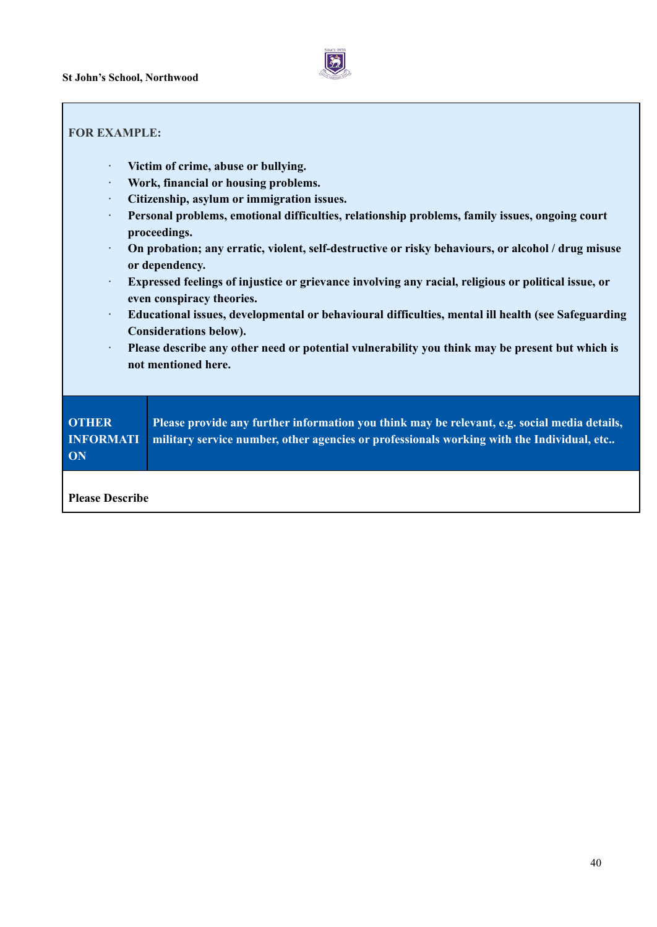

#### **FOR EXAMPLE:**

- **· Victim of crime, abuse or bullying.**
- **· Work, financial or housing problems.**
- **· Citizenship, asylum or immigration issues.**
- **· Personal problems, emotional difficulties, relationship problems, family issues, ongoing court proceedings.**
- **· On probation; any erratic, violent, self-destructive or risky behaviours, or alcohol / drug misuse or dependency.**
- **· Expressed feelings of injustice or grievance involving any racial, religious or political issue, or even conspiracy theories.**
- **· Educational issues, developmental or behavioural difficulties, mental ill health (see Safeguarding Considerations below).**
- **· Please describe any other need or potential vulnerability you think may be present but which is not mentioned here.**

| <b>OTHER</b><br><b>INFORMATI</b><br>ON | Please provide any further information you think may be relevant, e.g. social media details,<br>military service number, other agencies or professionals working with the Individual, etc |
|----------------------------------------|-------------------------------------------------------------------------------------------------------------------------------------------------------------------------------------------|
| <b>Please Describe</b>                 |                                                                                                                                                                                           |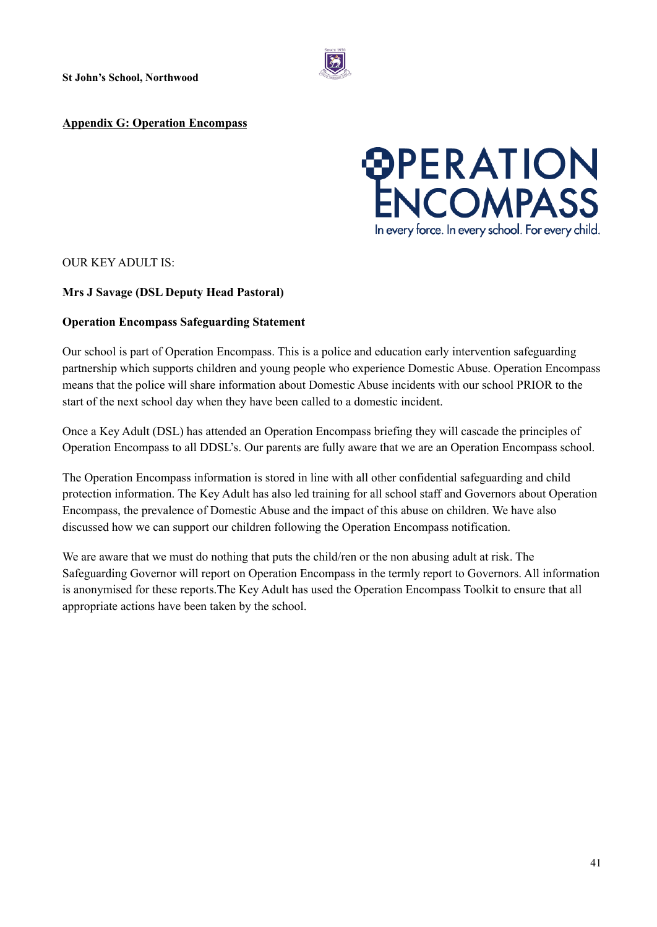#### **Appendix G: Operation Encompass**

# *<sup>@PERATION*<br>ENCOMPASS</sup> In every force. In every school. For every child.

#### OUR KEY ADULT IS:

#### **Mrs J Savage (DSL Deputy Head Pastoral)**

#### **Operation Encompass Safeguarding Statement**

Our school is part of Operation Encompass. This is a police and education early intervention safeguarding partnership which supports children and young people who experience Domestic Abuse. Operation Encompass means that the police will share information about Domestic Abuse incidents with our school PRIOR to the start of the next school day when they have been called to a domestic incident.

Once a Key Adult (DSL) has attended an Operation Encompass briefing they will cascade the principles of Operation Encompass to all DDSL's. Our parents are fully aware that we are an Operation Encompass school.

The Operation Encompass information is stored in line with all other confidential safeguarding and child protection information. The Key Adult has also led training for all school staff and Governors about Operation Encompass, the prevalence of Domestic Abuse and the impact of this abuse on children. We have also discussed how we can support our children following the Operation Encompass notification.

We are aware that we must do nothing that puts the child/ren or the non abusing adult at risk. The Safeguarding Governor will report on Operation Encompass in the termly report to Governors. All information is anonymised for these reports.The Key Adult has used the Operation Encompass Toolkit to ensure that all appropriate actions have been taken by the school.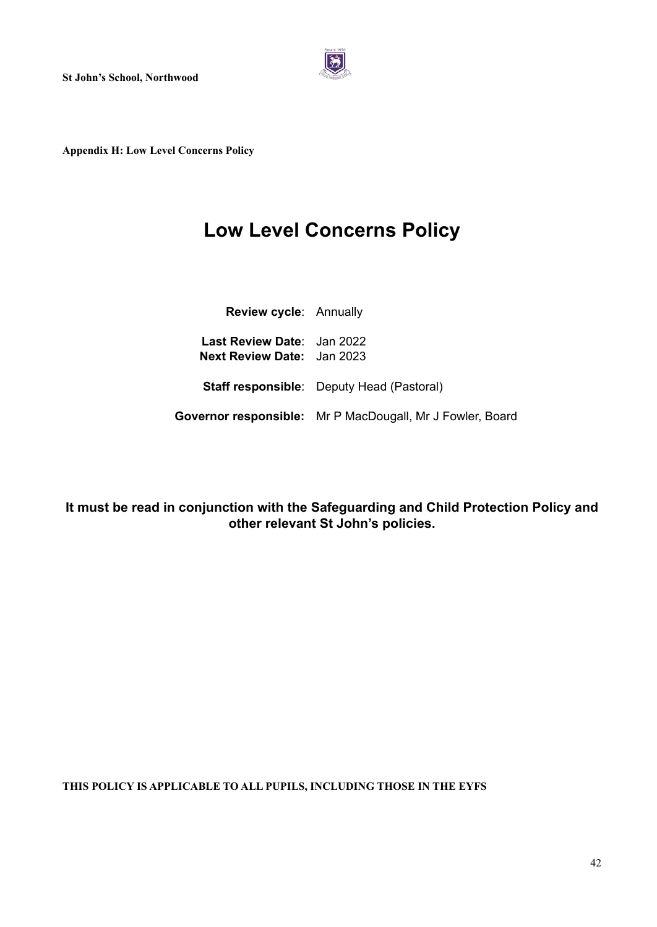

**Appendix H: Low Level Concerns Policy**

## **Low Level Concerns Policy**

| Review cycle: Annually                                          |                                                           |
|-----------------------------------------------------------------|-----------------------------------------------------------|
| Last Review Date: Jan 2022<br><b>Next Review Date: Jan 2023</b> |                                                           |
|                                                                 | <b>Staff responsible:</b> Deputy Head (Pastoral)          |
|                                                                 | Governor responsible: Mr P MacDougall, Mr J Fowler, Board |

**It must be read in conjunction with the Safeguarding and Child Protection Policy and other relevant St John's policies.**

**THIS POLICY IS APPLICABLE TO ALL PUPILS, INCLUDING THOSE IN THE EYFS**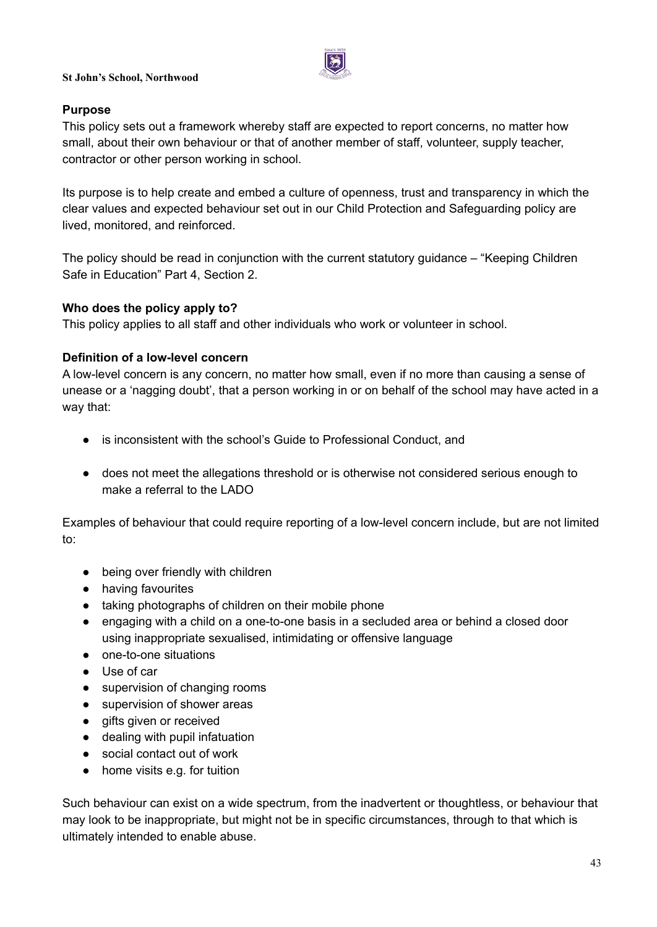

#### **Purpose**

This policy sets out a framework whereby staff are expected to report concerns, no matter how small, about their own behaviour or that of another member of staff, volunteer, supply teacher, contractor or other person working in school.

Its purpose is to help create and embed a culture of openness, trust and transparency in which the clear values and expected behaviour set out in our Child Protection and Safeguarding policy are lived, monitored, and reinforced.

The policy should be read in conjunction with the current statutory guidance – "Keeping Children Safe in Education" Part 4, Section 2.

#### **Who does the policy apply to?**

This policy applies to all staff and other individuals who work or volunteer in school.

#### **Definition of a low-level concern**

A low-level concern is any concern, no matter how small, even if no more than causing a sense of unease or a 'nagging doubt', that a person working in or on behalf of the school may have acted in a way that:

- is inconsistent with the school's Guide to Professional Conduct, and
- does not meet the allegations threshold or is otherwise not considered serious enough to make a referral to the LADO

Examples of behaviour that could require reporting of a low-level concern include, but are not limited to:

- being over friendly with children
- having favourites
- taking photographs of children on their mobile phone
- engaging with a child on a one-to-one basis in a secluded area or behind a closed door using inappropriate sexualised, intimidating or offensive language
- one-to-one situations
- Use of car
- supervision of changing rooms
- supervision of shower areas
- gifts given or received
- dealing with pupil infatuation
- social contact out of work
- home visits e.g. for tuition

Such behaviour can exist on a wide spectrum, from the inadvertent or thoughtless, or behaviour that may look to be inappropriate, but might not be in specific circumstances, through to that which is ultimately intended to enable abuse.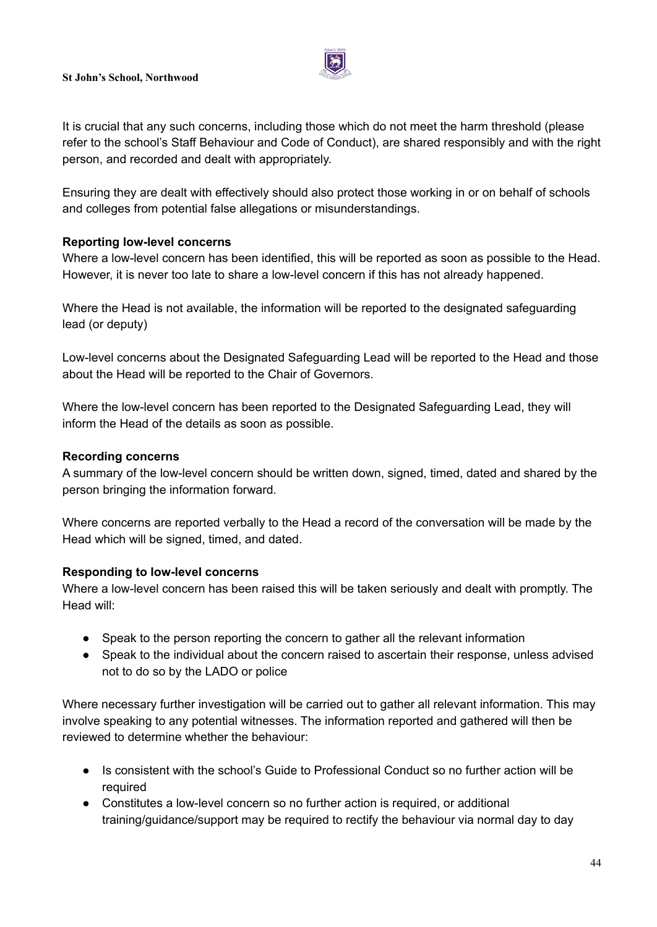

It is crucial that any such concerns, including those which do not meet the harm threshold (please refer to the school's Staff Behaviour and Code of Conduct), are shared responsibly and with the right person, and recorded and dealt with appropriately.

Ensuring they are dealt with effectively should also protect those working in or on behalf of schools and colleges from potential false allegations or misunderstandings.

### **Reporting low-level concerns**

Where a low-level concern has been identified, this will be reported as soon as possible to the Head. However, it is never too late to share a low-level concern if this has not already happened.

Where the Head is not available, the information will be reported to the designated safeguarding lead (or deputy)

Low-level concerns about the Designated Safeguarding Lead will be reported to the Head and those about the Head will be reported to the Chair of Governors.

Where the low-level concern has been reported to the Designated Safeguarding Lead, they will inform the Head of the details as soon as possible.

## **Recording concerns**

A summary of the low-level concern should be written down, signed, timed, dated and shared by the person bringing the information forward.

Where concerns are reported verbally to the Head a record of the conversation will be made by the Head which will be signed, timed, and dated.

### **Responding to low-level concerns**

Where a low-level concern has been raised this will be taken seriously and dealt with promptly. The Head will:

- Speak to the person reporting the concern to gather all the relevant information
- Speak to the individual about the concern raised to ascertain their response, unless advised not to do so by the LADO or police

Where necessary further investigation will be carried out to gather all relevant information. This may involve speaking to any potential witnesses. The information reported and gathered will then be reviewed to determine whether the behaviour:

- Is consistent with the school's Guide to Professional Conduct so no further action will be required
- Constitutes a low-level concern so no further action is required, or additional training/guidance/support may be required to rectify the behaviour via normal day to day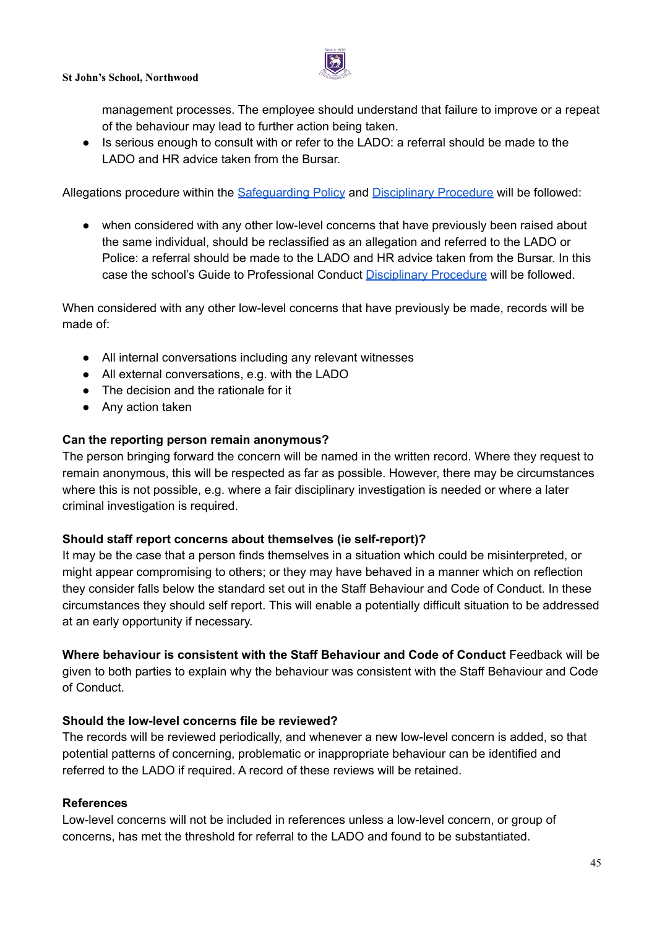

management processes. The employee should understand that failure to improve or a repeat of the behaviour may lead to further action being taken.

● Is serious enough to consult with or refer to the LADO: a referral should be made to the LADO and HR advice taken from the Bursar.

Allegations procedure within the Safeguarding Policy and [Disciplinary](https://docs.google.com/document/u/0/d/16XkUBy98NaG00c0lRS94m3xqtCfcA8vOZsaxLBiCeBo/edit) Procedure will be followed:

● when considered with any other low-level concerns that have previously been raised about the same individual, should be reclassified as an allegation and referred to the LADO or Police: a referral should be made to the LADO and HR advice taken from the Bursar. In this case the school's Guide to Professional Conduct [Disciplinary](https://docs.google.com/document/u/0/d/16XkUBy98NaG00c0lRS94m3xqtCfcA8vOZsaxLBiCeBo/edit) Procedure will be followed.

When considered with any other low-level concerns that have previously be made, records will be made of:

- All internal conversations including any relevant witnesses
- All external conversations, e.g. with the LADO
- The decision and the rationale for it
- Any action taken

### **Can the reporting person remain anonymous?**

The person bringing forward the concern will be named in the written record. Where they request to remain anonymous, this will be respected as far as possible. However, there may be circumstances where this is not possible, e.g. where a fair disciplinary investigation is needed or where a later criminal investigation is required.

### **Should staff report concerns about themselves (ie self-report)?**

It may be the case that a person finds themselves in a situation which could be misinterpreted, or might appear compromising to others; or they may have behaved in a manner which on reflection they consider falls below the standard set out in the Staff Behaviour and Code of Conduct. In these circumstances they should self report. This will enable a potentially difficult situation to be addressed at an early opportunity if necessary.

**Where behaviour is consistent with the Staff Behaviour and Code of Conduct** Feedback will be given to both parties to explain why the behaviour was consistent with the Staff Behaviour and Code of Conduct.

### **Should the low-level concerns file be reviewed?**

The records will be reviewed periodically, and whenever a new low-level concern is added, so that potential patterns of concerning, problematic or inappropriate behaviour can be identified and referred to the LADO if required. A record of these reviews will be retained.

### **References**

Low-level concerns will not be included in references unless a low-level concern, or group of concerns, has met the threshold for referral to the LADO and found to be substantiated.